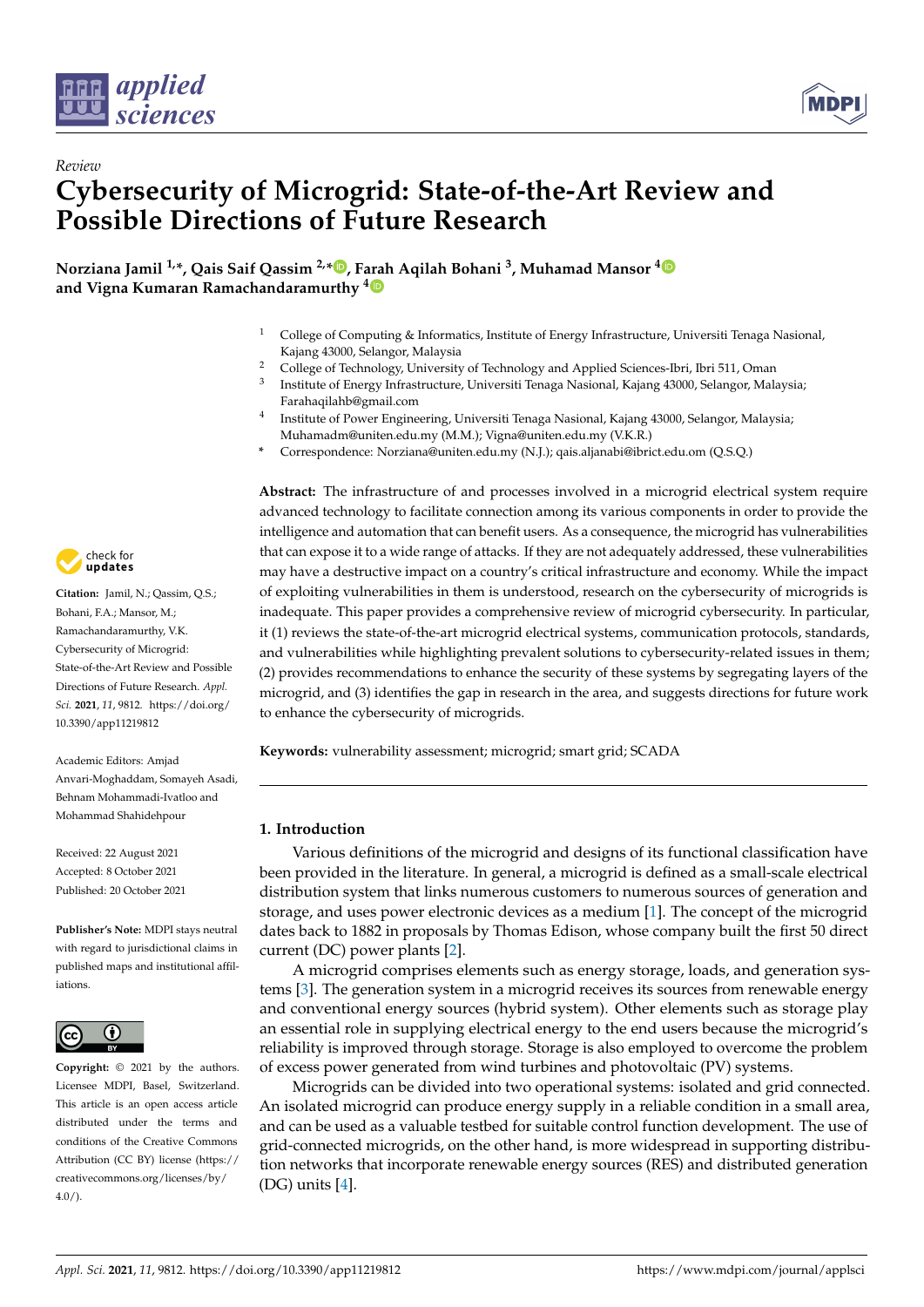

*Review*



# **Cybersecurity of Microgrid: State-of-the-Art Review and Possible Directions of Future Research**

**Norziana Jamil 1,\*, Qais Saif Qassim 2,\* [,](https://orcid.org/0000-0002-6391-5246) Farah Aqilah Bohani <sup>3</sup> , Muhamad Mansor [4](https://orcid.org/0000-0001-9843-1316) and Vigna Kumaran Ramachandaramurthy [4](https://orcid.org/0000-0003-0386-3138)**

- <sup>1</sup> College of Computing & Informatics, Institute of Energy Infrastructure, Universiti Tenaga Nasional, Kajang 43000, Selangor, Malaysia
- <sup>2</sup> College of Technology, University of Technology and Applied Sciences-Ibri, Ibri 511, Oman
- 3 Institute of Energy Infrastructure, Universiti Tenaga Nasional, Kajang 43000, Selangor, Malaysia; Farahaqilahb@gmail.com
- 4 Institute of Power Engineering, Universiti Tenaga Nasional, Kajang 43000, Selangor, Malaysia; Muhamadm@uniten.edu.my (M.M.); Vigna@uniten.edu.my (V.K.R.)
- **\*** Correspondence: Norziana@uniten.edu.my (N.J.); qais.aljanabi@ibrict.edu.om (Q.S.Q.)

**Abstract:** The infrastructure of and processes involved in a microgrid electrical system require advanced technology to facilitate connection among its various components in order to provide the intelligence and automation that can benefit users. As a consequence, the microgrid has vulnerabilities that can expose it to a wide range of attacks. If they are not adequately addressed, these vulnerabilities may have a destructive impact on a country's critical infrastructure and economy. While the impact of exploiting vulnerabilities in them is understood, research on the cybersecurity of microgrids is inadequate. This paper provides a comprehensive review of microgrid cybersecurity. In particular, it (1) reviews the state-of-the-art microgrid electrical systems, communication protocols, standards, and vulnerabilities while highlighting prevalent solutions to cybersecurity-related issues in them; (2) provides recommendations to enhance the security of these systems by segregating layers of the microgrid, and (3) identifies the gap in research in the area, and suggests directions for future work to enhance the cybersecurity of microgrids.

**Keywords:** vulnerability assessment; microgrid; smart grid; SCADA

## **1. Introduction**

Various definitions of the microgrid and designs of its functional classification have been provided in the literature. In general, a microgrid is defined as a small-scale electrical distribution system that links numerous customers to numerous sources of generation and storage, and uses power electronic devices as a medium [\[1\]](#page-17-0). The concept of the microgrid dates back to 1882 in proposals by Thomas Edison, whose company built the first 50 direct current (DC) power plants [\[2\]](#page-17-1).

A microgrid comprises elements such as energy storage, loads, and generation systems [\[3\]](#page-17-2). The generation system in a microgrid receives its sources from renewable energy and conventional energy sources (hybrid system). Other elements such as storage play an essential role in supplying electrical energy to the end users because the microgrid's reliability is improved through storage. Storage is also employed to overcome the problem of excess power generated from wind turbines and photovoltaic (PV) systems.

Microgrids can be divided into two operational systems: isolated and grid connected. An isolated microgrid can produce energy supply in a reliable condition in a small area, and can be used as a valuable testbed for suitable control function development. The use of grid-connected microgrids, on the other hand, is more widespread in supporting distribution networks that incorporate renewable energy sources (RES) and distributed generation (DG) units [\[4\]](#page-17-3).



**Citation:** Jamil, N.; Qassim, Q.S.; Bohani, F.A.; Mansor, M.; Ramachandaramurthy, V.K. Cybersecurity of Microgrid: State-of-the-Art Review and Possible Directions of Future Research. *Appl. Sci.* **2021**, *11*, 9812. [https://doi.org/](https://doi.org/10.3390/app11219812) [10.3390/app11219812](https://doi.org/10.3390/app11219812)

Academic Editors: Amjad Anvari-Moghaddam, Somayeh Asadi, Behnam Mohammadi-Ivatloo and Mohammad Shahidehpour

Received: 22 August 2021 Accepted: 8 October 2021 Published: 20 October 2021

**Publisher's Note:** MDPI stays neutral with regard to jurisdictional claims in published maps and institutional affiliations.



**Copyright:** © 2021 by the authors. Licensee MDPI, Basel, Switzerland. This article is an open access article distributed under the terms and conditions of the Creative Commons Attribution (CC BY) license (https:/[/](https://creativecommons.org/licenses/by/4.0/) [creativecommons.org/licenses/by/](https://creativecommons.org/licenses/by/4.0/)  $4.0/$ ).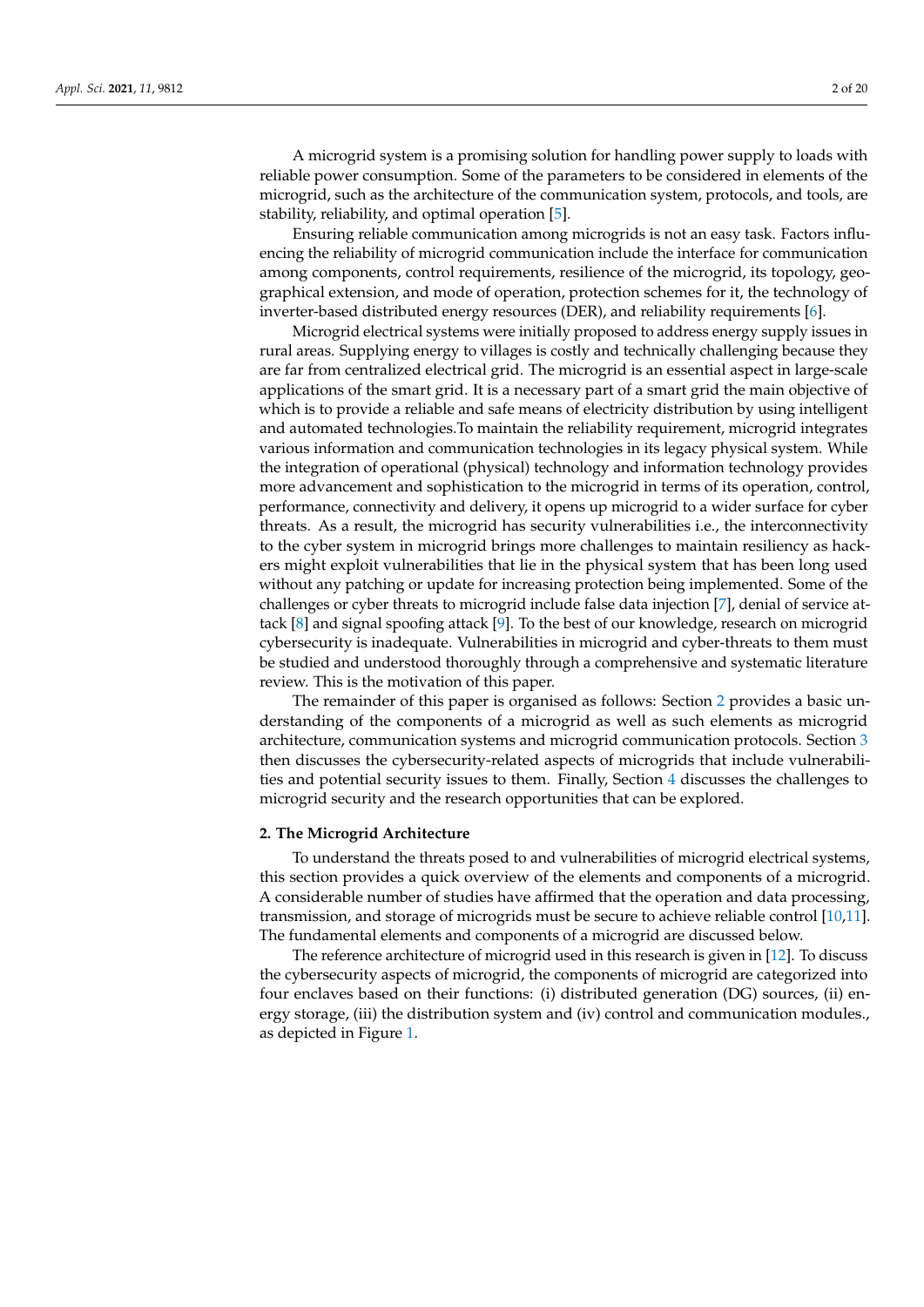A microgrid system is a promising solution for handling power supply to loads with reliable power consumption. Some of the parameters to be considered in elements of the microgrid, such as the architecture of the communication system, protocols, and tools, are stability, reliability, and optimal operation [\[5\]](#page-17-4).

Ensuring reliable communication among microgrids is not an easy task. Factors influencing the reliability of microgrid communication include the interface for communication among components, control requirements, resilience of the microgrid, its topology, geographical extension, and mode of operation, protection schemes for it, the technology of inverter-based distributed energy resources (DER), and reliability requirements [\[6\]](#page-17-5).

Microgrid electrical systems were initially proposed to address energy supply issues in rural areas. Supplying energy to villages is costly and technically challenging because they are far from centralized electrical grid. The microgrid is an essential aspect in large-scale applications of the smart grid. It is a necessary part of a smart grid the main objective of which is to provide a reliable and safe means of electricity distribution by using intelligent and automated technologies.To maintain the reliability requirement, microgrid integrates various information and communication technologies in its legacy physical system. While the integration of operational (physical) technology and information technology provides more advancement and sophistication to the microgrid in terms of its operation, control, performance, connectivity and delivery, it opens up microgrid to a wider surface for cyber threats. As a result, the microgrid has security vulnerabilities i.e., the interconnectivity to the cyber system in microgrid brings more challenges to maintain resiliency as hackers might exploit vulnerabilities that lie in the physical system that has been long used without any patching or update for increasing protection being implemented. Some of the challenges or cyber threats to microgrid include false data injection [\[7\]](#page-17-6), denial of service attack [\[8\]](#page-17-7) and signal spoofing attack [\[9\]](#page-17-8). To the best of our knowledge, research on microgrid cybersecurity is inadequate. Vulnerabilities in microgrid and cyber-threats to them must be studied and understood thoroughly through a comprehensive and systematic literature review. This is the motivation of this paper.

The remainder of this paper is organised as follows: Section [2](#page-1-0) provides a basic understanding of the components of a microgrid as well as such elements as microgrid architecture, communication systems and microgrid communication protocols. Section [3](#page-9-0) then discusses the cybersecurity-related aspects of microgrids that include vulnerabilities and potential security issues to them. Finally, Section [4](#page-15-0) discusses the challenges to microgrid security and the research opportunities that can be explored.

#### <span id="page-1-0"></span>**2. The Microgrid Architecture**

To understand the threats posed to and vulnerabilities of microgrid electrical systems, this section provides a quick overview of the elements and components of a microgrid. A considerable number of studies have affirmed that the operation and data processing, transmission, and storage of microgrids must be secure to achieve reliable control [\[10,](#page-17-9)[11\]](#page-17-10). The fundamental elements and components of a microgrid are discussed below.

The reference architecture of microgrid used in this research is given in [\[12\]](#page-17-11). To discuss the cybersecurity aspects of microgrid, the components of microgrid are categorized into four enclaves based on their functions: (i) distributed generation (DG) sources, (ii) energy storage, (iii) the distribution system and (iv) control and communication modules., as depicted in Figure [1.](#page-2-0)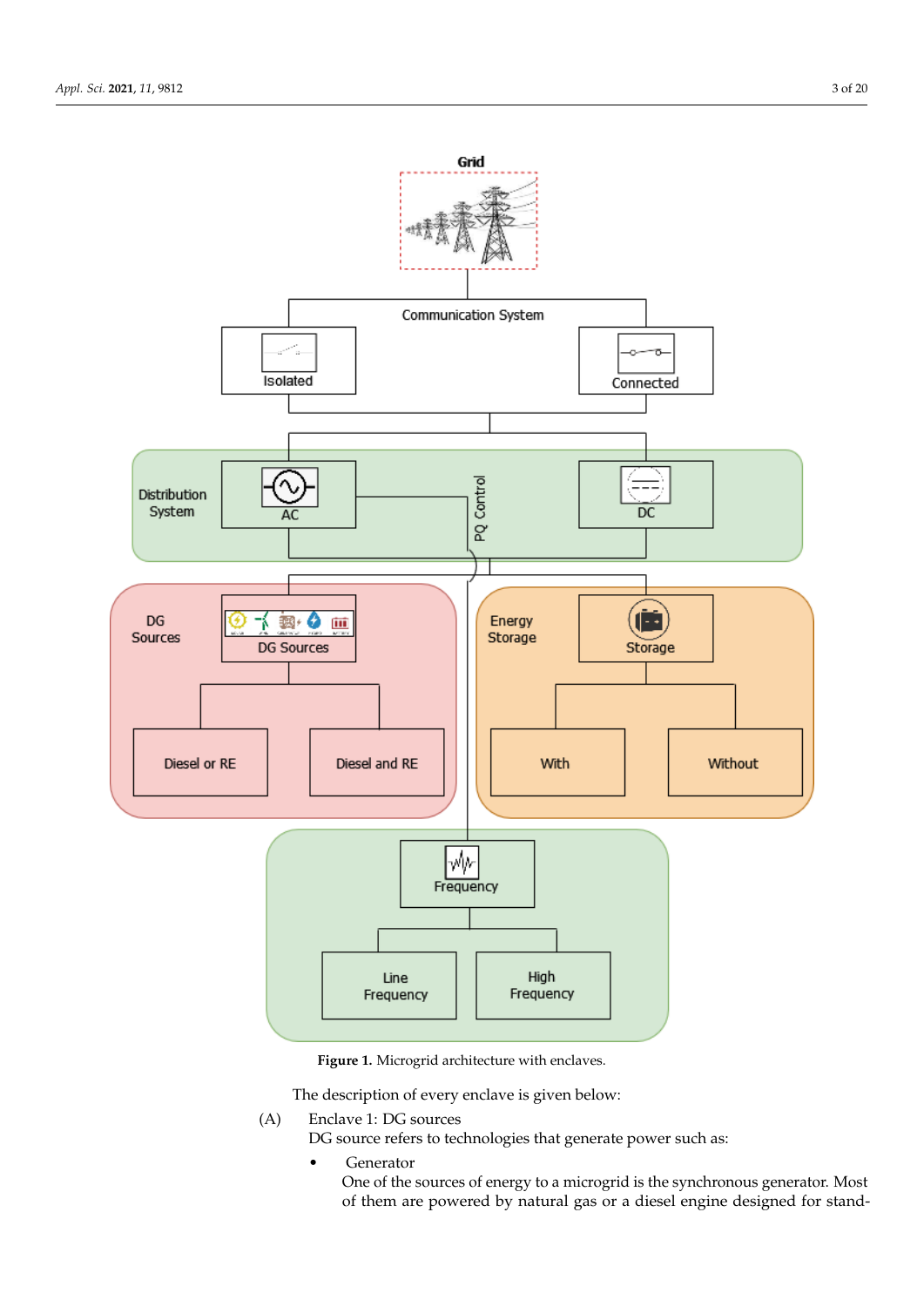<span id="page-2-0"></span>

**Figure 1.** Microgrid architecture with enclaves.

The description of every enclave is given below:

- (A) Enclave 1: DG sources
	- DG source refers to technologies that generate power such as:
		- Generator

One of the sources of energy to a microgrid is the synchronous generator. Most of them are powered by natural gas or a diesel engine designed for stand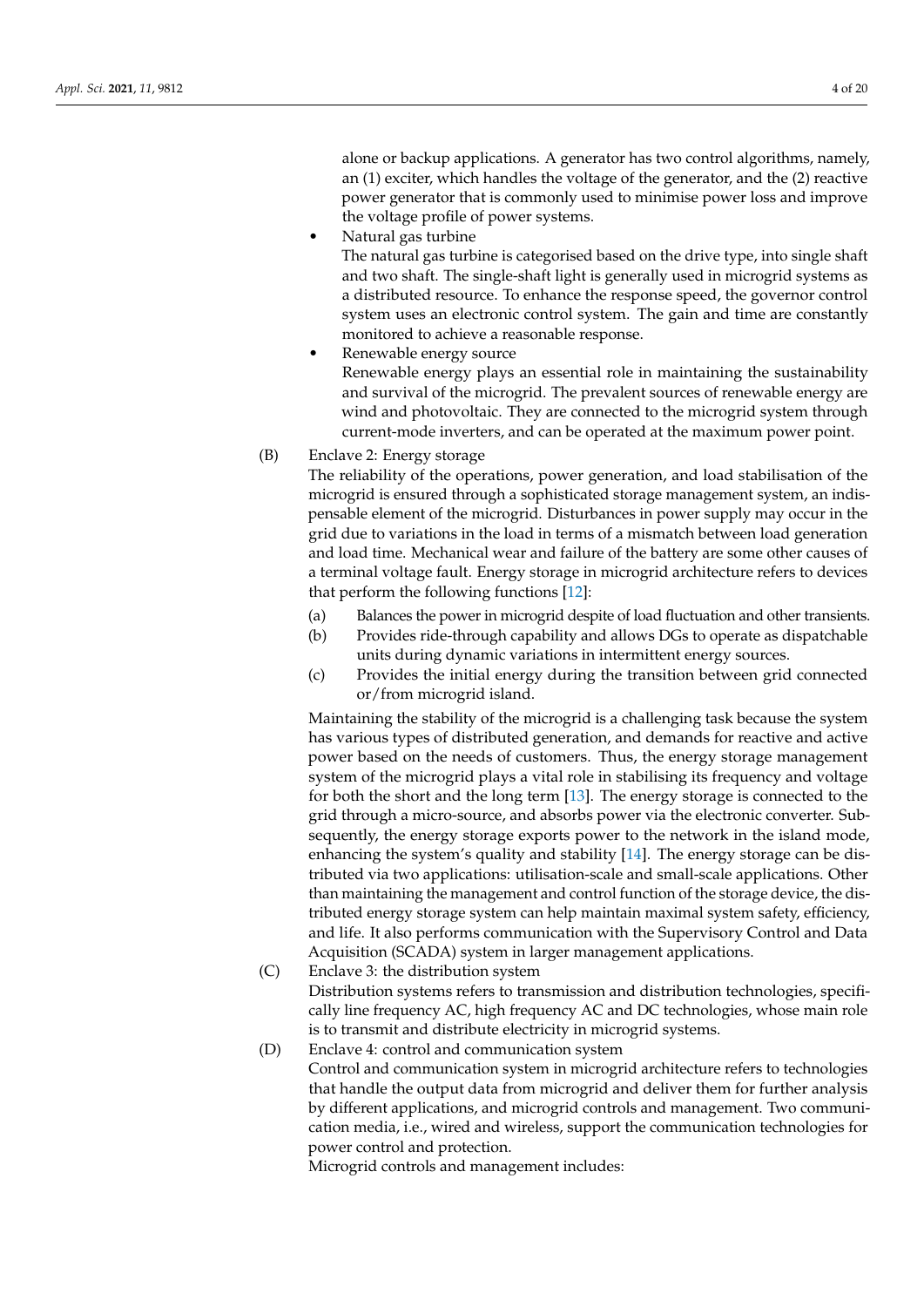alone or backup applications. A generator has two control algorithms, namely, an (1) exciter, which handles the voltage of the generator, and the (2) reactive power generator that is commonly used to minimise power loss and improve the voltage profile of power systems.

• Natural gas turbine

The natural gas turbine is categorised based on the drive type, into single shaft and two shaft. The single-shaft light is generally used in microgrid systems as a distributed resource. To enhance the response speed, the governor control system uses an electronic control system. The gain and time are constantly monitored to achieve a reasonable response.

- Renewable energy source Renewable energy plays an essential role in maintaining the sustainability and survival of the microgrid. The prevalent sources of renewable energy are wind and photovoltaic. They are connected to the microgrid system through current-mode inverters, and can be operated at the maximum power point.
- (B) Enclave 2: Energy storage

The reliability of the operations, power generation, and load stabilisation of the microgrid is ensured through a sophisticated storage management system, an indispensable element of the microgrid. Disturbances in power supply may occur in the grid due to variations in the load in terms of a mismatch between load generation and load time. Mechanical wear and failure of the battery are some other causes of a terminal voltage fault. Energy storage in microgrid architecture refers to devices that perform the following functions [\[12\]](#page-17-11):

- (a) Balances the power in microgrid despite of load fluctuation and other transients.
- (b) Provides ride-through capability and allows DGs to operate as dispatchable units during dynamic variations in intermittent energy sources.
- (c) Provides the initial energy during the transition between grid connected or/from microgrid island.

Maintaining the stability of the microgrid is a challenging task because the system has various types of distributed generation, and demands for reactive and active power based on the needs of customers. Thus, the energy storage management system of the microgrid plays a vital role in stabilising its frequency and voltage for both the short and the long term [\[13\]](#page-17-12). The energy storage is connected to the grid through a micro-source, and absorbs power via the electronic converter. Subsequently, the energy storage exports power to the network in the island mode, enhancing the system's quality and stability [\[14\]](#page-17-13). The energy storage can be distributed via two applications: utilisation-scale and small-scale applications. Other than maintaining the management and control function of the storage device, the distributed energy storage system can help maintain maximal system safety, efficiency, and life. It also performs communication with the Supervisory Control and Data Acquisition (SCADA) system in larger management applications.

(C) Enclave 3: the distribution system

Distribution systems refers to transmission and distribution technologies, specifically line frequency AC, high frequency AC and DC technologies, whose main role is to transmit and distribute electricity in microgrid systems.

(D) Enclave 4: control and communication system

Control and communication system in microgrid architecture refers to technologies that handle the output data from microgrid and deliver them for further analysis by different applications, and microgrid controls and management. Two communication media, i.e., wired and wireless, support the communication technologies for power control and protection.

Microgrid controls and management includes: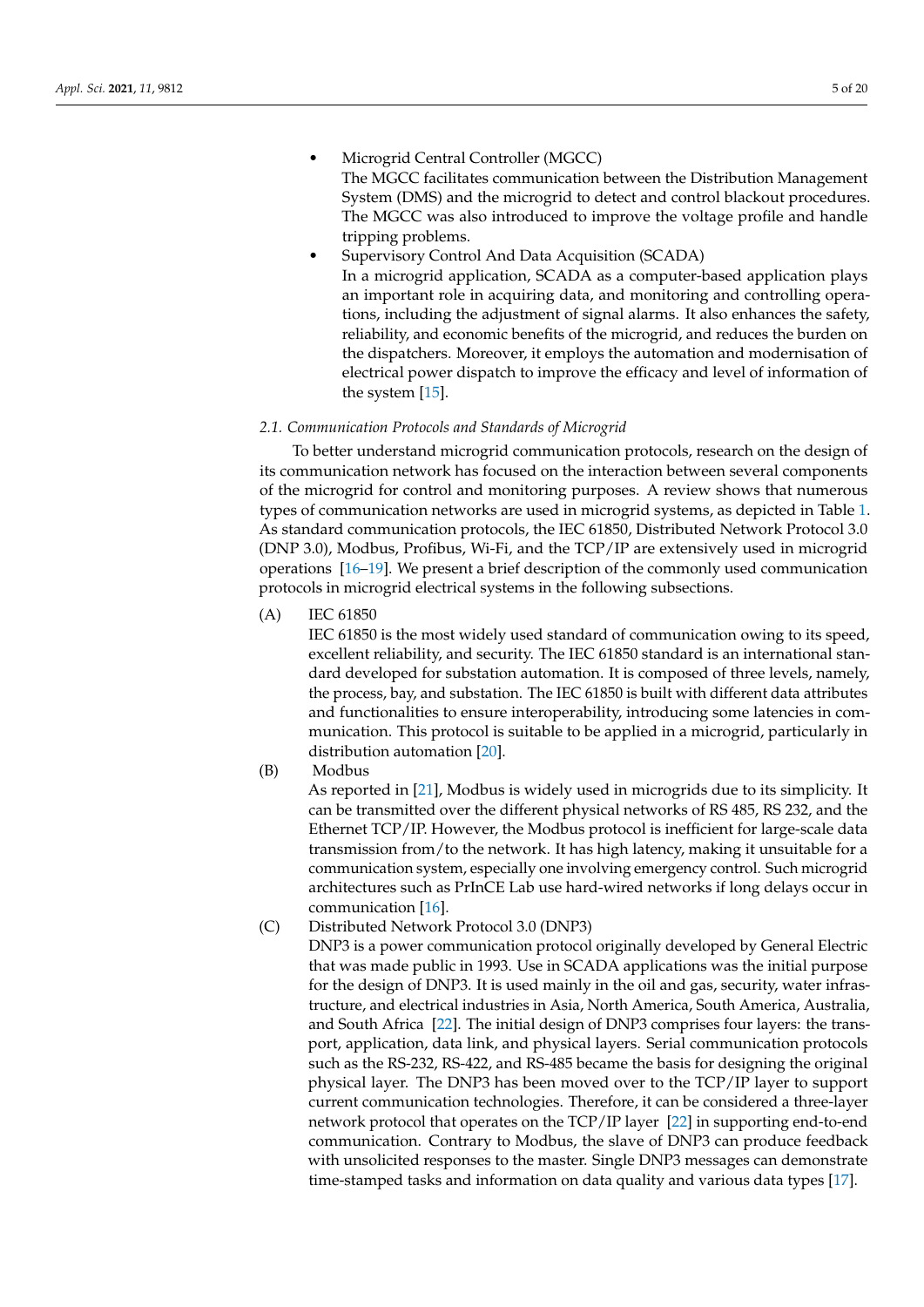- Microgrid Central Controller (MGCC) The MGCC facilitates communication between the Distribution Management System (DMS) and the microgrid to detect and control blackout procedures. The MGCC was also introduced to improve the voltage profile and handle tripping problems.
- Supervisory Control And Data Acquisition (SCADA) In a microgrid application, SCADA as a computer-based application plays an important role in acquiring data, and monitoring and controlling operations, including the adjustment of signal alarms. It also enhances the safety, reliability, and economic benefits of the microgrid, and reduces the burden on the dispatchers. Moreover, it employs the automation and modernisation of electrical power dispatch to improve the efficacy and level of information of the system [\[15\]](#page-17-14).

## *2.1. Communication Protocols and Standards of Microgrid*

To better understand microgrid communication protocols, research on the design of its communication network has focused on the interaction between several components of the microgrid for control and monitoring purposes. A review shows that numerous types of communication networks are used in microgrid systems, as depicted in Table [1.](#page-5-0) As standard communication protocols, the IEC 61850, Distributed Network Protocol 3.0 (DNP 3.0), Modbus, Profibus, Wi-Fi, and the TCP/IP are extensively used in microgrid operations [\[16](#page-17-15)[–19\]](#page-17-16). We present a brief description of the commonly used communication protocols in microgrid electrical systems in the following subsections.

(A) IEC 61850

IEC 61850 is the most widely used standard of communication owing to its speed, excellent reliability, and security. The IEC 61850 standard is an international standard developed for substation automation. It is composed of three levels, namely, the process, bay, and substation. The IEC 61850 is built with different data attributes and functionalities to ensure interoperability, introducing some latencies in communication. This protocol is suitable to be applied in a microgrid, particularly in distribution automation [\[20\]](#page-17-17).

(B) Modbus

As reported in [\[21\]](#page-17-18), Modbus is widely used in microgrids due to its simplicity. It can be transmitted over the different physical networks of RS 485, RS 232, and the Ethernet TCP/IP. However, the Modbus protocol is inefficient for large-scale data transmission from/to the network. It has high latency, making it unsuitable for a communication system, especially one involving emergency control. Such microgrid architectures such as PrInCE Lab use hard-wired networks if long delays occur in communication [\[16\]](#page-17-15).

(C) Distributed Network Protocol 3.0 (DNP3)

DNP3 is a power communication protocol originally developed by General Electric that was made public in 1993. Use in SCADA applications was the initial purpose for the design of DNP3. It is used mainly in the oil and gas, security, water infrastructure, and electrical industries in Asia, North America, South America, Australia, and South Africa [\[22\]](#page-17-19). The initial design of DNP3 comprises four layers: the transport, application, data link, and physical layers. Serial communication protocols such as the RS-232, RS-422, and RS-485 became the basis for designing the original physical layer. The DNP3 has been moved over to the TCP/IP layer to support current communication technologies. Therefore, it can be considered a three-layer network protocol that operates on the TCP/IP layer [\[22\]](#page-17-19) in supporting end-to-end communication. Contrary to Modbus, the slave of DNP3 can produce feedback with unsolicited responses to the master. Single DNP3 messages can demonstrate time-stamped tasks and information on data quality and various data types [\[17\]](#page-17-20).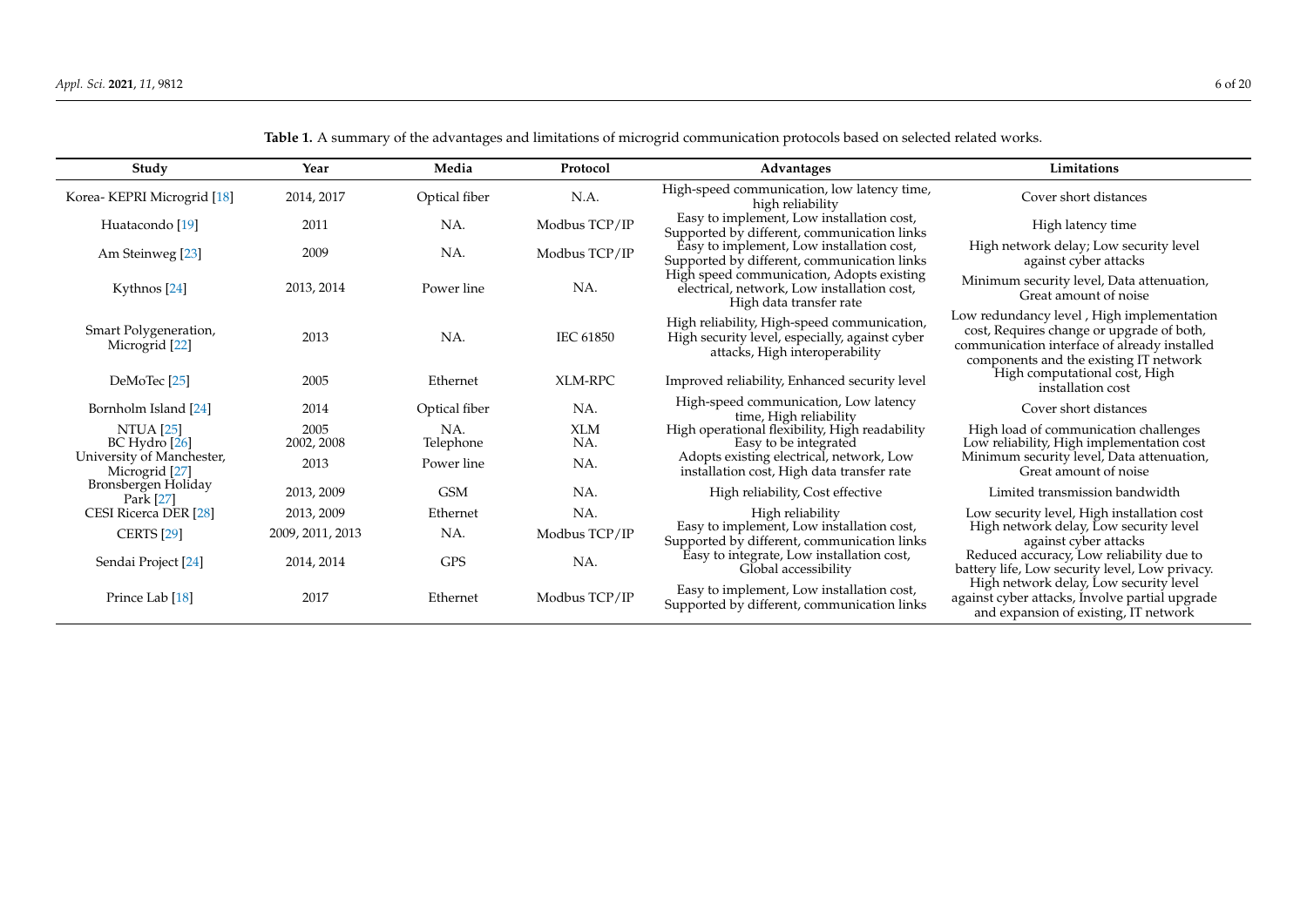<span id="page-5-0"></span>

| Study                                       | Year               | Media            | Protocol          | Advantages                                                                                                                      | Limitations                                                                                                                                                                      |
|---------------------------------------------|--------------------|------------------|-------------------|---------------------------------------------------------------------------------------------------------------------------------|----------------------------------------------------------------------------------------------------------------------------------------------------------------------------------|
| Korea- KEPRI Microgrid [18]                 | 2014, 2017         | Optical fiber    | N.A.              | High-speed communication, low latency time,<br>high reliability                                                                 | Cover short distances                                                                                                                                                            |
| Huatacondo [19]                             | 2011               | NA.              | Modbus TCP/IP     | Easy to implement, Low installation cost,<br>Supported by different, communication links                                        | High latency time                                                                                                                                                                |
| Am Steinweg [23]                            | 2009               | NA.              | Modbus TCP/IP     | Easy to implement, Low installation cost,<br>Supported by different, communication links                                        | High network delay; Low security level<br>against cyber attacks                                                                                                                  |
| Kythnos [24]                                | 2013, 2014         | Power line       | NA.               | High speed communication, Adopts existing<br>electrical, network, Low installation cost,<br>High data transfer rate             | Minimum security level, Data attenuation,<br>Great amount of noise                                                                                                               |
| Smart Polygeneration,<br>Microgrid [22]     | 2013               | NA.              | <b>IEC 61850</b>  | High reliability, High-speed communication,<br>High security level, especially, against cyber<br>attacks, High interoperability | Low redundancy level, High implementation<br>cost, Requires change or upgrade of both,<br>communication interface of already installed<br>components and the existing IT network |
| DeMoTec <sup>[25]</sup>                     | 2005               | Ethernet         | <b>XLM-RPC</b>    | Improved reliability, Enhanced security level                                                                                   | High computational cost, High<br>installation cost                                                                                                                               |
| Bornholm Island [24]                        | 2014               | Optical fiber    | NA.               | High-speed communication, Low latency<br>time, High reliability                                                                 | Cover short distances                                                                                                                                                            |
| <b>NTUA [25]</b><br>BC Hydro [26]           | 2005<br>2002, 2008 | NA.<br>Telephone | <b>XLM</b><br>NA. | High operational flexibility, High readability<br>Easy to be integrated                                                         | High load of communication challenges<br>Low reliability, High implementation cost                                                                                               |
| University of Manchester,<br>Microgrid [27] | 2013               | Power line       | NA.               | Adopts existing electrical, network, Low<br>installation cost, High data transfer rate                                          | Minimum security level, Data attenuation,<br>Great amount of noise                                                                                                               |
| Bronsbergen Holiday<br>Park [27]            | 2013, 2009         | <b>GSM</b>       | NA.               | High reliability, Cost effective                                                                                                | Limited transmission bandwidth                                                                                                                                                   |
| CESI Ricerca DER <sup>[28]</sup>            | 2013, 2009         | Ethernet         | NA.               | High reliability                                                                                                                | Low security level, High installation cost                                                                                                                                       |
| <b>CERTS</b> [29]                           | 2009, 2011, 2013   | NA.              | Modbus TCP/IP     | Easy to implement, Low installation cost,<br>Supported by different, communication links                                        | High network delay, Low security level<br>against cyber attacks                                                                                                                  |
| Sendai Project [24]                         | 2014, 2014         | <b>GPS</b>       | NA.               | Easy to integrate, Low installation cost,<br>Global accessibility                                                               | Reduced accuracy, Low reliability due to<br>battery life, Low security level, Low privacy.                                                                                       |
| Prince Lab [18]                             | 2017               | Ethernet         | Modbus TCP/IP     | Easy to implement, Low installation cost,<br>Supported by different, communication links                                        | High network delay, Low security level<br>against cyber attacks, Involve partial upgrade<br>and expansion of existing, IT network                                                |

**Table 1.** A summary of the advantages and limitations of microgrid communication protocols based on selected related works.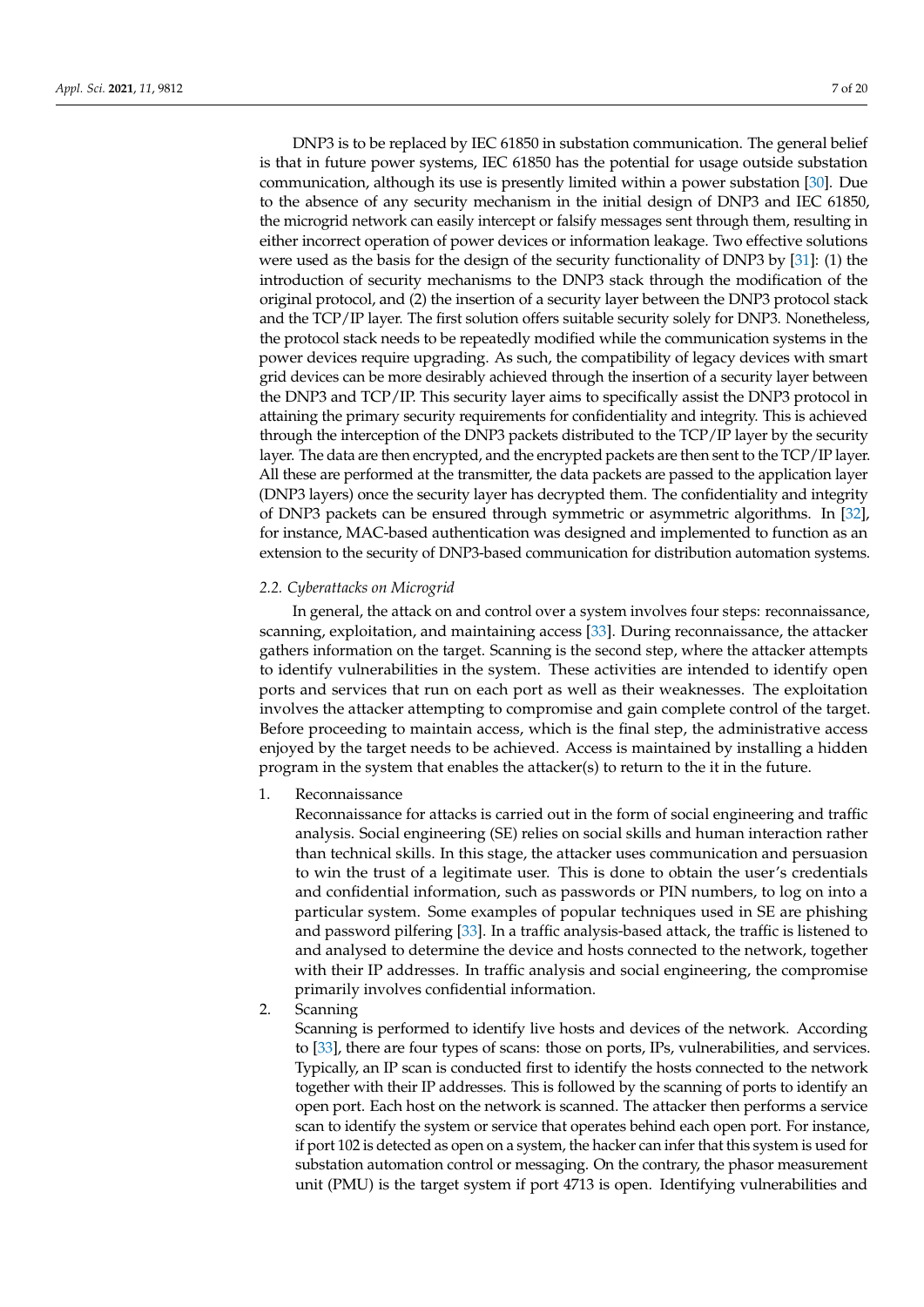DNP3 is to be replaced by IEC 61850 in substation communication. The general belief is that in future power systems, IEC 61850 has the potential for usage outside substation communication, although its use is presently limited within a power substation [\[30\]](#page-18-5). Due to the absence of any security mechanism in the initial design of DNP3 and IEC 61850, the microgrid network can easily intercept or falsify messages sent through them, resulting in either incorrect operation of power devices or information leakage. Two effective solutions were used as the basis for the design of the security functionality of DNP3 by [\[31\]](#page-18-6): (1) the introduction of security mechanisms to the DNP3 stack through the modification of the original protocol, and (2) the insertion of a security layer between the DNP3 protocol stack and the TCP/IP layer. The first solution offers suitable security solely for DNP3. Nonetheless, the protocol stack needs to be repeatedly modified while the communication systems in the power devices require upgrading. As such, the compatibility of legacy devices with smart grid devices can be more desirably achieved through the insertion of a security layer between the DNP3 and TCP/IP. This security layer aims to specifically assist the DNP3 protocol in attaining the primary security requirements for confidentiality and integrity. This is achieved through the interception of the DNP3 packets distributed to the TCP/IP layer by the security layer. The data are then encrypted, and the encrypted packets are then sent to the TCP/IP layer. All these are performed at the transmitter, the data packets are passed to the application layer (DNP3 layers) once the security layer has decrypted them. The confidentiality and integrity of DNP3 packets can be ensured through symmetric or asymmetric algorithms. In [\[32\]](#page-18-7), for instance, MAC-based authentication was designed and implemented to function as an extension to the security of DNP3-based communication for distribution automation systems.

## *2.2. Cyberattacks on Microgrid*

In general, the attack on and control over a system involves four steps: reconnaissance, scanning, exploitation, and maintaining access [\[33\]](#page-18-8). During reconnaissance, the attacker gathers information on the target. Scanning is the second step, where the attacker attempts to identify vulnerabilities in the system. These activities are intended to identify open ports and services that run on each port as well as their weaknesses. The exploitation involves the attacker attempting to compromise and gain complete control of the target. Before proceeding to maintain access, which is the final step, the administrative access enjoyed by the target needs to be achieved. Access is maintained by installing a hidden program in the system that enables the attacker(s) to return to the it in the future.

1. Reconnaissance

Reconnaissance for attacks is carried out in the form of social engineering and traffic analysis. Social engineering (SE) relies on social skills and human interaction rather than technical skills. In this stage, the attacker uses communication and persuasion to win the trust of a legitimate user. This is done to obtain the user's credentials and confidential information, such as passwords or PIN numbers, to log on into a particular system. Some examples of popular techniques used in SE are phishing and password pilfering [\[33\]](#page-18-8). In a traffic analysis-based attack, the traffic is listened to and analysed to determine the device and hosts connected to the network, together with their IP addresses. In traffic analysis and social engineering, the compromise primarily involves confidential information.

2. Scanning

Scanning is performed to identify live hosts and devices of the network. According to [\[33\]](#page-18-8), there are four types of scans: those on ports, IPs, vulnerabilities, and services. Typically, an IP scan is conducted first to identify the hosts connected to the network together with their IP addresses. This is followed by the scanning of ports to identify an open port. Each host on the network is scanned. The attacker then performs a service scan to identify the system or service that operates behind each open port. For instance, if port 102 is detected as open on a system, the hacker can infer that this system is used for substation automation control or messaging. On the contrary, the phasor measurement unit (PMU) is the target system if port 4713 is open. Identifying vulnerabilities and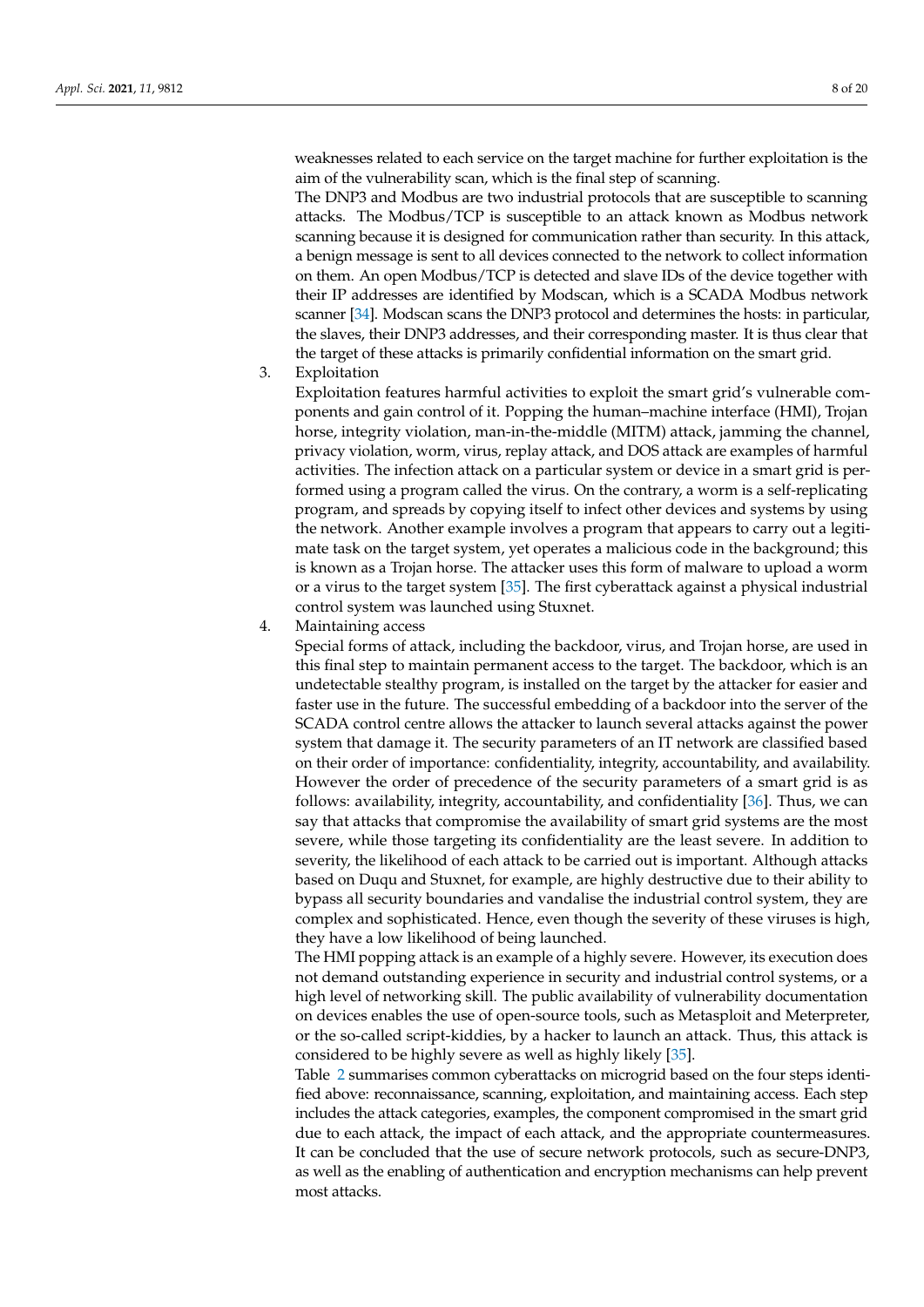weaknesses related to each service on the target machine for further exploitation is the aim of the vulnerability scan, which is the final step of scanning.

The DNP3 and Modbus are two industrial protocols that are susceptible to scanning attacks. The Modbus/TCP is susceptible to an attack known as Modbus network scanning because it is designed for communication rather than security. In this attack, a benign message is sent to all devices connected to the network to collect information on them. An open Modbus/TCP is detected and slave IDs of the device together with their IP addresses are identified by Modscan, which is a SCADA Modbus network scanner [\[34\]](#page-18-9). Modscan scans the DNP3 protocol and determines the hosts: in particular, the slaves, their DNP3 addresses, and their corresponding master. It is thus clear that the target of these attacks is primarily confidential information on the smart grid.

3. Exploitation

Exploitation features harmful activities to exploit the smart grid's vulnerable components and gain control of it. Popping the human–machine interface (HMI), Trojan horse, integrity violation, man-in-the-middle (MITM) attack, jamming the channel, privacy violation, worm, virus, replay attack, and DOS attack are examples of harmful activities. The infection attack on a particular system or device in a smart grid is performed using a program called the virus. On the contrary, a worm is a self-replicating program, and spreads by copying itself to infect other devices and systems by using the network. Another example involves a program that appears to carry out a legitimate task on the target system, yet operates a malicious code in the background; this is known as a Trojan horse. The attacker uses this form of malware to upload a worm or a virus to the target system [\[35\]](#page-18-10). The first cyberattack against a physical industrial control system was launched using Stuxnet.

4. Maintaining access

Special forms of attack, including the backdoor, virus, and Trojan horse, are used in this final step to maintain permanent access to the target. The backdoor, which is an undetectable stealthy program, is installed on the target by the attacker for easier and faster use in the future. The successful embedding of a backdoor into the server of the SCADA control centre allows the attacker to launch several attacks against the power system that damage it. The security parameters of an IT network are classified based on their order of importance: confidentiality, integrity, accountability, and availability. However the order of precedence of the security parameters of a smart grid is as follows: availability, integrity, accountability, and confidentiality [\[36\]](#page-18-11). Thus, we can say that attacks that compromise the availability of smart grid systems are the most severe, while those targeting its confidentiality are the least severe. In addition to severity, the likelihood of each attack to be carried out is important. Although attacks based on Duqu and Stuxnet, for example, are highly destructive due to their ability to bypass all security boundaries and vandalise the industrial control system, they are complex and sophisticated. Hence, even though the severity of these viruses is high, they have a low likelihood of being launched.

The HMI popping attack is an example of a highly severe. However, its execution does not demand outstanding experience in security and industrial control systems, or a high level of networking skill. The public availability of vulnerability documentation on devices enables the use of open-source tools, such as Metasploit and Meterpreter, or the so-called script-kiddies, by a hacker to launch an attack. Thus, this attack is considered to be highly severe as well as highly likely [\[35\]](#page-18-10).

Table [2](#page-8-0) summarises common cyberattacks on microgrid based on the four steps identified above: reconnaissance, scanning, exploitation, and maintaining access. Each step includes the attack categories, examples, the component compromised in the smart grid due to each attack, the impact of each attack, and the appropriate countermeasures. It can be concluded that the use of secure network protocols, such as secure-DNP3, as well as the enabling of authentication and encryption mechanisms can help prevent most attacks.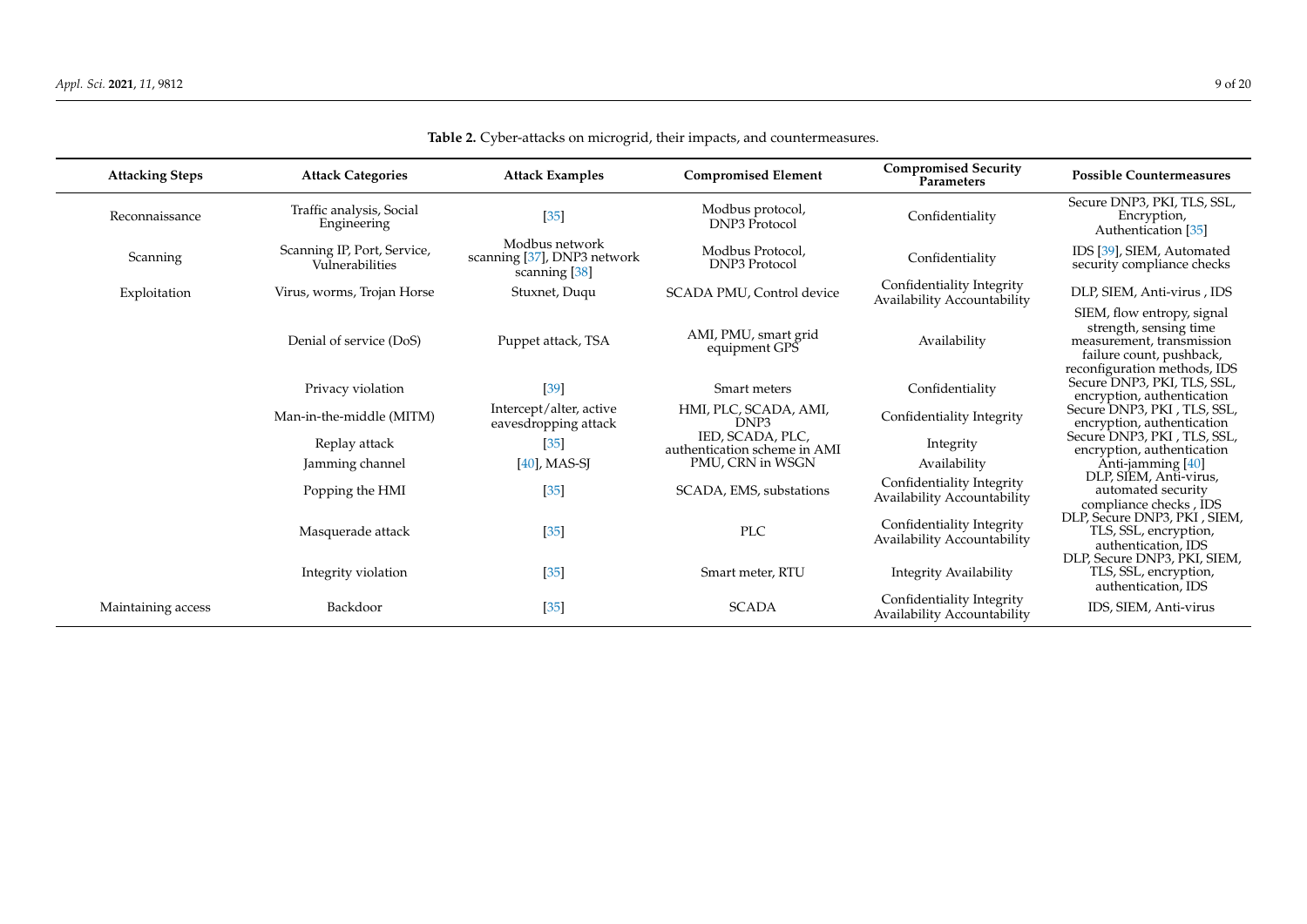<span id="page-8-0"></span>

| <b>Attacking Steps</b> | <b>Attack Categories</b>                       | <b>Attack Examples</b>                                         | <b>Compromised Element</b>                                           | <b>Compromised Security</b><br>Parameters                | <b>Possible Countermeasures</b>                                                                               |
|------------------------|------------------------------------------------|----------------------------------------------------------------|----------------------------------------------------------------------|----------------------------------------------------------|---------------------------------------------------------------------------------------------------------------|
| Reconnaissance         | Traffic analysis, Social<br>Engineering        | $[35]$                                                         | Modbus protocol,<br><b>DNP3</b> Protocol                             | Confidentiality                                          | Secure DNP3, PKI, TLS, SSL,<br>Encryption,<br>Authentication [35]                                             |
| Scanning               | Scanning IP, Port, Service,<br>Vulnerabilities | Modbus network<br>scanning [37], DNP3 network<br>scanning [38] | Modbus Protocol,<br><b>DNP3</b> Protocol                             | Confidentiality                                          | IDS [39], SIEM, Automated<br>security compliance checks                                                       |
| Exploitation           | Virus, worms, Trojan Horse                     | Stuxnet, Duqu                                                  | SCADA PMU, Control device                                            | Confidentiality Integrity<br>Availability Accountability | DLP, SIEM, Anti-virus, IDS                                                                                    |
|                        | Denial of service (DoS)                        | Puppet attack, TSA                                             | AMI, PMU, smart grid<br>equipment GPS                                | Availability                                             | SIEM, flow entropy, signal<br>strength, sensing time<br>measurement, transmission<br>failure count, pushback, |
|                        | Privacy violation                              | $[39]$                                                         | Smart meters                                                         | Confidentiality                                          | reconfiguration methods, IDS<br>Secure DNP3, PKI, TLS, SSL,<br>encryption, authentication                     |
|                        | Man-in-the-middle (MITM)                       | Intercept/alter, active<br>eavesdropping attack                | HMI, PLC, SCADA, AMI,<br>DNP3                                        | Confidentiality Integrity                                | Secure DNP3, PKI, TLS, SSL,<br>encryption, authentication                                                     |
|                        | Replay attack<br>Jamming channel               | $[35]$<br>$[40]$ , MAS-SJ                                      | IED, SCADA, PLC,<br>authentication scheme in AMI<br>PMU, CRN in WSGN | Integrity<br>Availability                                | Secure DNP3, PKI, TLS, SSL,<br>encryption, authentication<br>Anti-jamming [40]                                |
|                        | Popping the HMI                                | $[35]$                                                         | SCADA, EMS, substations                                              | Confidentiality Integrity<br>Availability Accountability | DLP, SIEM, Anti-virus,<br>automated security<br>compliance checks, IDS                                        |
|                        | Masquerade attack                              | $[35]$                                                         | PLC                                                                  | Confidentiality Integrity<br>Availability Accountability | DLP, Secure DNP3, PKI, SIEM,<br>TLS, SSL, encryption,<br>authentication, IDS                                  |
|                        | Integrity violation                            | $[35]$                                                         | Smart meter, RTU                                                     | Integrity Availability                                   | DLP, Secure DNP3, PKI, SIEM,<br>TLS, SSL, encryption,<br>authentication, IDS                                  |
| Maintaining access     | Backdoor                                       | $[35]$                                                         | <b>SCADA</b>                                                         | Confidentiality Integrity<br>Availability Accountability | IDS, SIEM, Anti-virus                                                                                         |

**Table 2.** Cyber-attacks on microgrid, their impacts, and countermeasures.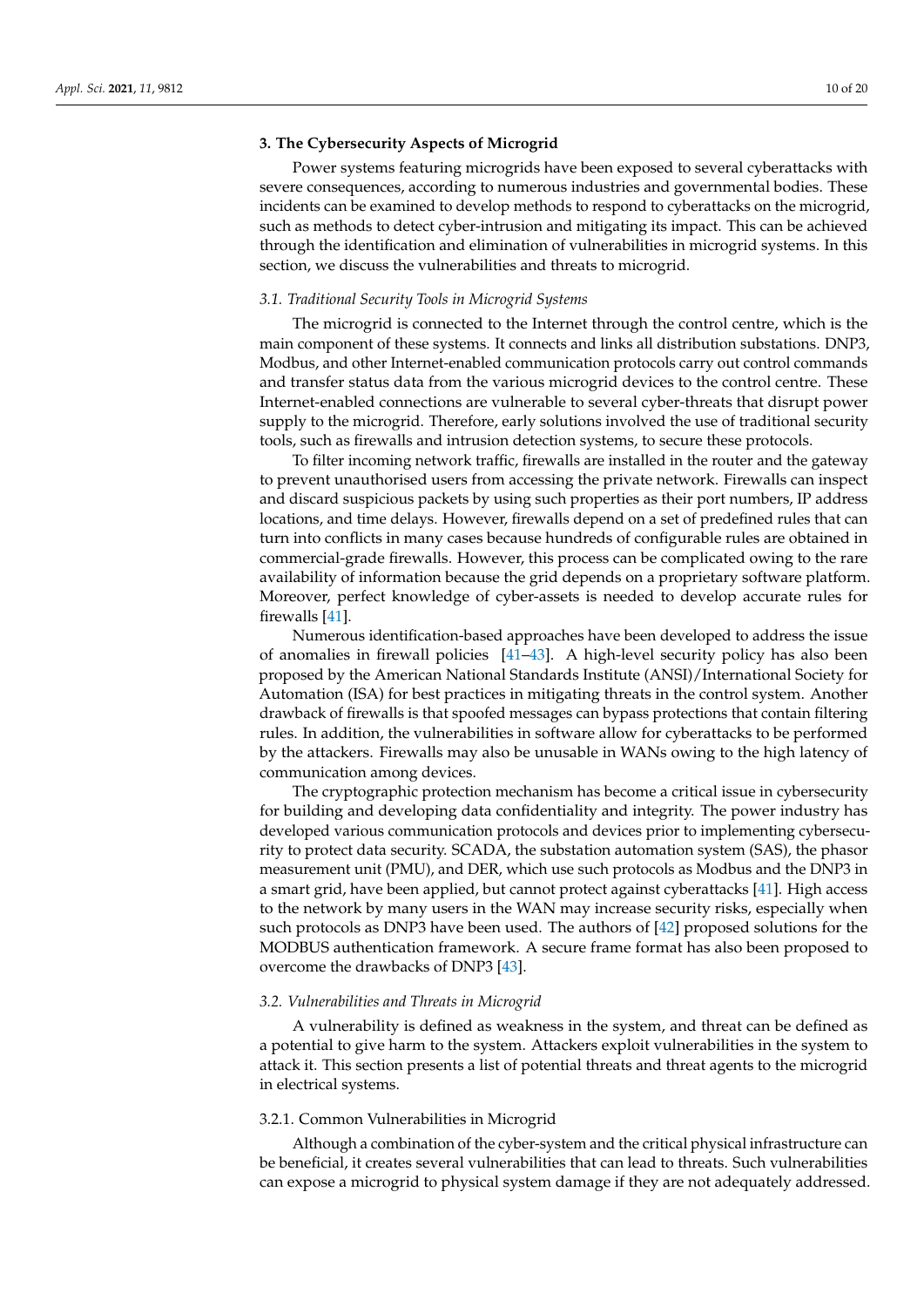## <span id="page-9-0"></span>**3. The Cybersecurity Aspects of Microgrid**

Power systems featuring microgrids have been exposed to several cyberattacks with severe consequences, according to numerous industries and governmental bodies. These incidents can be examined to develop methods to respond to cyberattacks on the microgrid, such as methods to detect cyber-intrusion and mitigating its impact. This can be achieved through the identification and elimination of vulnerabilities in microgrid systems. In this section, we discuss the vulnerabilities and threats to microgrid.

## *3.1. Traditional Security Tools in Microgrid Systems*

The microgrid is connected to the Internet through the control centre, which is the main component of these systems. It connects and links all distribution substations. DNP3, Modbus, and other Internet-enabled communication protocols carry out control commands and transfer status data from the various microgrid devices to the control centre. These Internet-enabled connections are vulnerable to several cyber-threats that disrupt power supply to the microgrid. Therefore, early solutions involved the use of traditional security tools, such as firewalls and intrusion detection systems, to secure these protocols.

To filter incoming network traffic, firewalls are installed in the router and the gateway to prevent unauthorised users from accessing the private network. Firewalls can inspect and discard suspicious packets by using such properties as their port numbers, IP address locations, and time delays. However, firewalls depend on a set of predefined rules that can turn into conflicts in many cases because hundreds of configurable rules are obtained in commercial-grade firewalls. However, this process can be complicated owing to the rare availability of information because the grid depends on a proprietary software platform. Moreover, perfect knowledge of cyber-assets is needed to develop accurate rules for firewalls [\[41\]](#page-18-17).

Numerous identification-based approaches have been developed to address the issue of anomalies in firewall policies [\[41](#page-18-17)[–43\]](#page-18-18). A high-level security policy has also been proposed by the American National Standards Institute (ANSI)/International Society for Automation (ISA) for best practices in mitigating threats in the control system. Another drawback of firewalls is that spoofed messages can bypass protections that contain filtering rules. In addition, the vulnerabilities in software allow for cyberattacks to be performed by the attackers. Firewalls may also be unusable in WANs owing to the high latency of communication among devices.

The cryptographic protection mechanism has become a critical issue in cybersecurity for building and developing data confidentiality and integrity. The power industry has developed various communication protocols and devices prior to implementing cybersecurity to protect data security. SCADA, the substation automation system (SAS), the phasor measurement unit (PMU), and DER, which use such protocols as Modbus and the DNP3 in a smart grid, have been applied, but cannot protect against cyberattacks [\[41\]](#page-18-17). High access to the network by many users in the WAN may increase security risks, especially when such protocols as DNP3 have been used. The authors of [\[42\]](#page-18-19) proposed solutions for the MODBUS authentication framework. A secure frame format has also been proposed to overcome the drawbacks of DNP3 [\[43\]](#page-18-18).

### *3.2. Vulnerabilities and Threats in Microgrid*

A vulnerability is defined as weakness in the system, and threat can be defined as a potential to give harm to the system. Attackers exploit vulnerabilities in the system to attack it. This section presents a list of potential threats and threat agents to the microgrid in electrical systems.

### 3.2.1. Common Vulnerabilities in Microgrid

Although a combination of the cyber-system and the critical physical infrastructure can be beneficial, it creates several vulnerabilities that can lead to threats. Such vulnerabilities can expose a microgrid to physical system damage if they are not adequately addressed.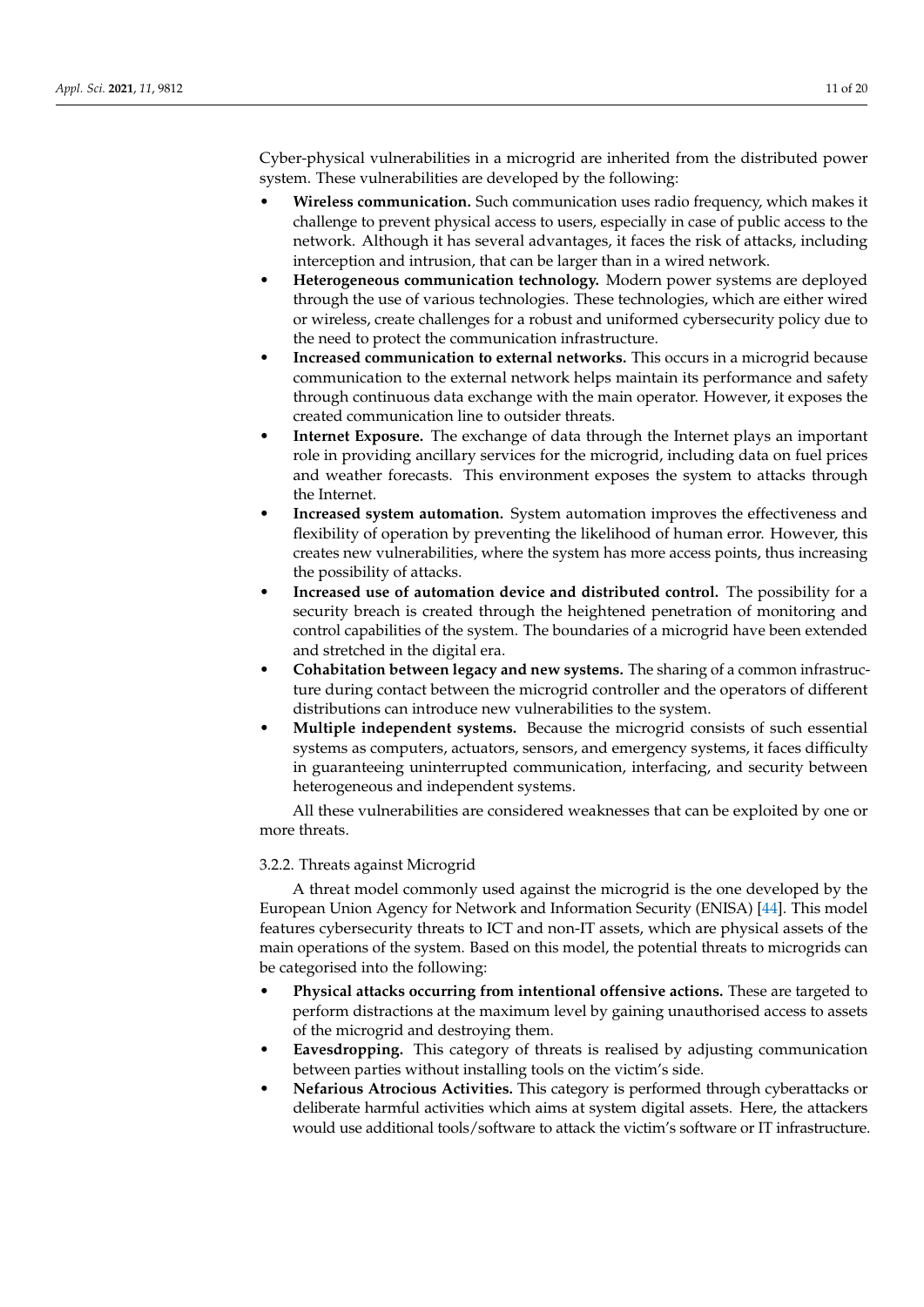Cyber-physical vulnerabilities in a microgrid are inherited from the distributed power system. These vulnerabilities are developed by the following:

- **Wireless communication.** Such communication uses radio frequency, which makes it challenge to prevent physical access to users, especially in case of public access to the network. Although it has several advantages, it faces the risk of attacks, including interception and intrusion, that can be larger than in a wired network.
- **Heterogeneous communication technology.** Modern power systems are deployed through the use of various technologies. These technologies, which are either wired or wireless, create challenges for a robust and uniformed cybersecurity policy due to the need to protect the communication infrastructure.
- **Increased communication to external networks.** This occurs in a microgrid because communication to the external network helps maintain its performance and safety through continuous data exchange with the main operator. However, it exposes the created communication line to outsider threats.
- **Internet Exposure.** The exchange of data through the Internet plays an important role in providing ancillary services for the microgrid, including data on fuel prices and weather forecasts. This environment exposes the system to attacks through the Internet.
- **Increased system automation.** System automation improves the effectiveness and flexibility of operation by preventing the likelihood of human error. However, this creates new vulnerabilities, where the system has more access points, thus increasing the possibility of attacks.
- **Increased use of automation device and distributed control.** The possibility for a security breach is created through the heightened penetration of monitoring and control capabilities of the system. The boundaries of a microgrid have been extended and stretched in the digital era.
- **Cohabitation between legacy and new systems.** The sharing of a common infrastructure during contact between the microgrid controller and the operators of different distributions can introduce new vulnerabilities to the system.
- **Multiple independent systems.** Because the microgrid consists of such essential systems as computers, actuators, sensors, and emergency systems, it faces difficulty in guaranteeing uninterrupted communication, interfacing, and security between heterogeneous and independent systems.

All these vulnerabilities are considered weaknesses that can be exploited by one or more threats.

## 3.2.2. Threats against Microgrid

A threat model commonly used against the microgrid is the one developed by the European Union Agency for Network and Information Security (ENISA) [\[44\]](#page-18-20). This model features cybersecurity threats to ICT and non-IT assets, which are physical assets of the main operations of the system. Based on this model, the potential threats to microgrids can be categorised into the following:

- **Physical attacks occurring from intentional offensive actions.** These are targeted to perform distractions at the maximum level by gaining unauthorised access to assets of the microgrid and destroying them.
- **Eavesdropping.** This category of threats is realised by adjusting communication between parties without installing tools on the victim's side.
- **Nefarious Atrocious Activities.** This category is performed through cyberattacks or deliberate harmful activities which aims at system digital assets. Here, the attackers would use additional tools/software to attack the victim's software or IT infrastructure.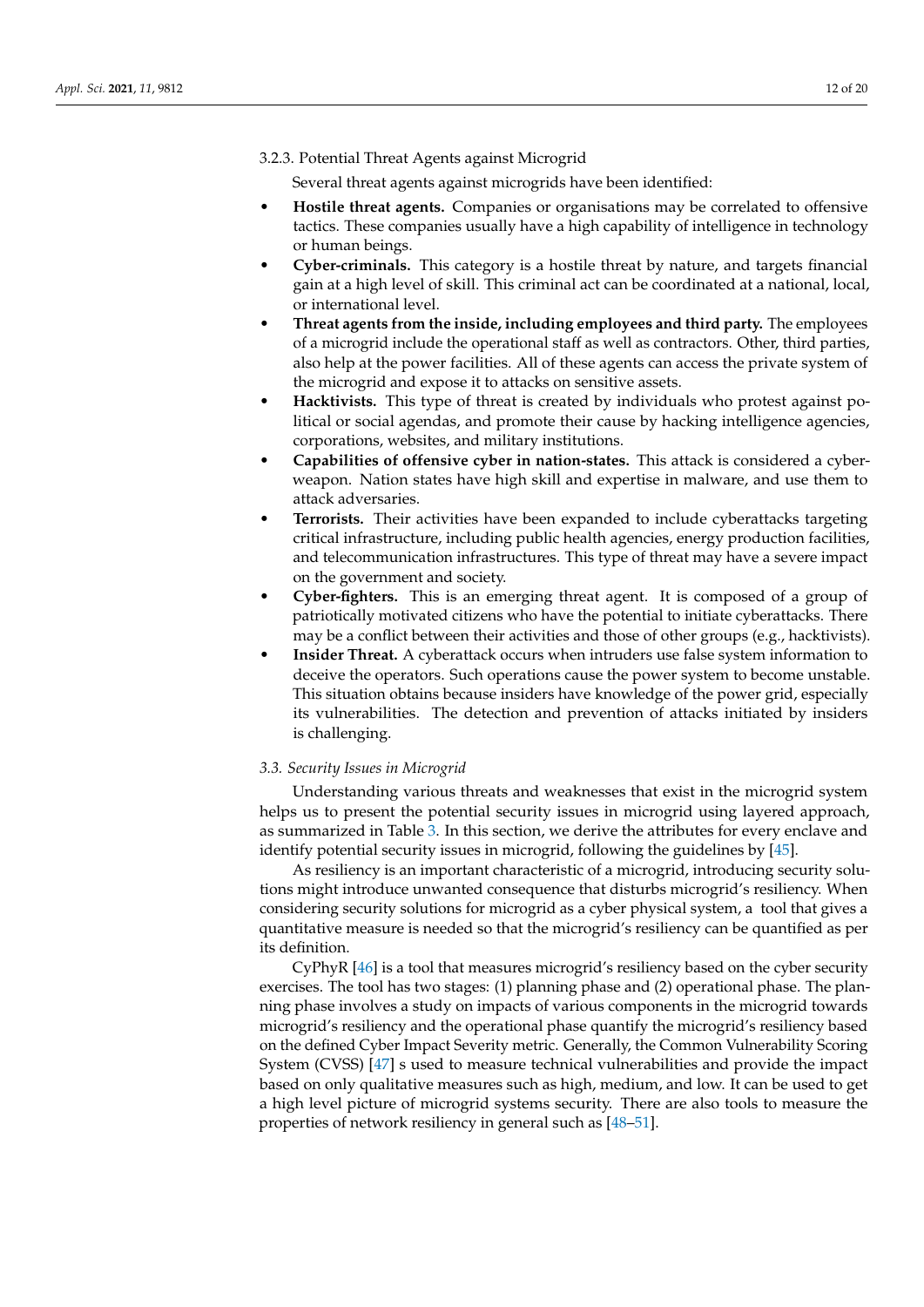3.2.3. Potential Threat Agents against Microgrid

Several threat agents against microgrids have been identified:

- **Hostile threat agents.** Companies or organisations may be correlated to offensive tactics. These companies usually have a high capability of intelligence in technology or human beings.
- **Cyber-criminals.** This category is a hostile threat by nature, and targets financial gain at a high level of skill. This criminal act can be coordinated at a national, local, or international level.
- **Threat agents from the inside, including employees and third party.** The employees of a microgrid include the operational staff as well as contractors. Other, third parties, also help at the power facilities. All of these agents can access the private system of the microgrid and expose it to attacks on sensitive assets.
- **Hacktivists.** This type of threat is created by individuals who protest against political or social agendas, and promote their cause by hacking intelligence agencies, corporations, websites, and military institutions.
- **Capabilities of offensive cyber in nation-states.** This attack is considered a cyberweapon. Nation states have high skill and expertise in malware, and use them to attack adversaries.
- **Terrorists.** Their activities have been expanded to include cyberattacks targeting critical infrastructure, including public health agencies, energy production facilities, and telecommunication infrastructures. This type of threat may have a severe impact on the government and society.
- **Cyber-fighters.** This is an emerging threat agent. It is composed of a group of patriotically motivated citizens who have the potential to initiate cyberattacks. There may be a conflict between their activities and those of other groups (e.g., hacktivists).
- **Insider Threat.** A cyberattack occurs when intruders use false system information to deceive the operators. Such operations cause the power system to become unstable. This situation obtains because insiders have knowledge of the power grid, especially its vulnerabilities. The detection and prevention of attacks initiated by insiders is challenging.

## *3.3. Security Issues in Microgrid*

Understanding various threats and weaknesses that exist in the microgrid system helps us to present the potential security issues in microgrid using layered approach, as summarized in Table [3.](#page-12-0) In this section, we derive the attributes for every enclave and identify potential security issues in microgrid, following the guidelines by [\[45\]](#page-18-21).

As resiliency is an important characteristic of a microgrid, introducing security solutions might introduce unwanted consequence that disturbs microgrid's resiliency. When considering security solutions for microgrid as a cyber physical system, a tool that gives a quantitative measure is needed so that the microgrid's resiliency can be quantified as per its definition.

CyPhyR [\[46\]](#page-18-22) is a tool that measures microgrid's resiliency based on the cyber security exercises. The tool has two stages: (1) planning phase and (2) operational phase. The planning phase involves a study on impacts of various components in the microgrid towards microgrid's resiliency and the operational phase quantify the microgrid's resiliency based on the defined Cyber Impact Severity metric. Generally, the Common Vulnerability Scoring System (CVSS) [\[47\]](#page-18-23) s used to measure technical vulnerabilities and provide the impact based on only qualitative measures such as high, medium, and low. It can be used to get a high level picture of microgrid systems security. There are also tools to measure the properties of network resiliency in general such as [\[48](#page-18-24)[–51\]](#page-18-25).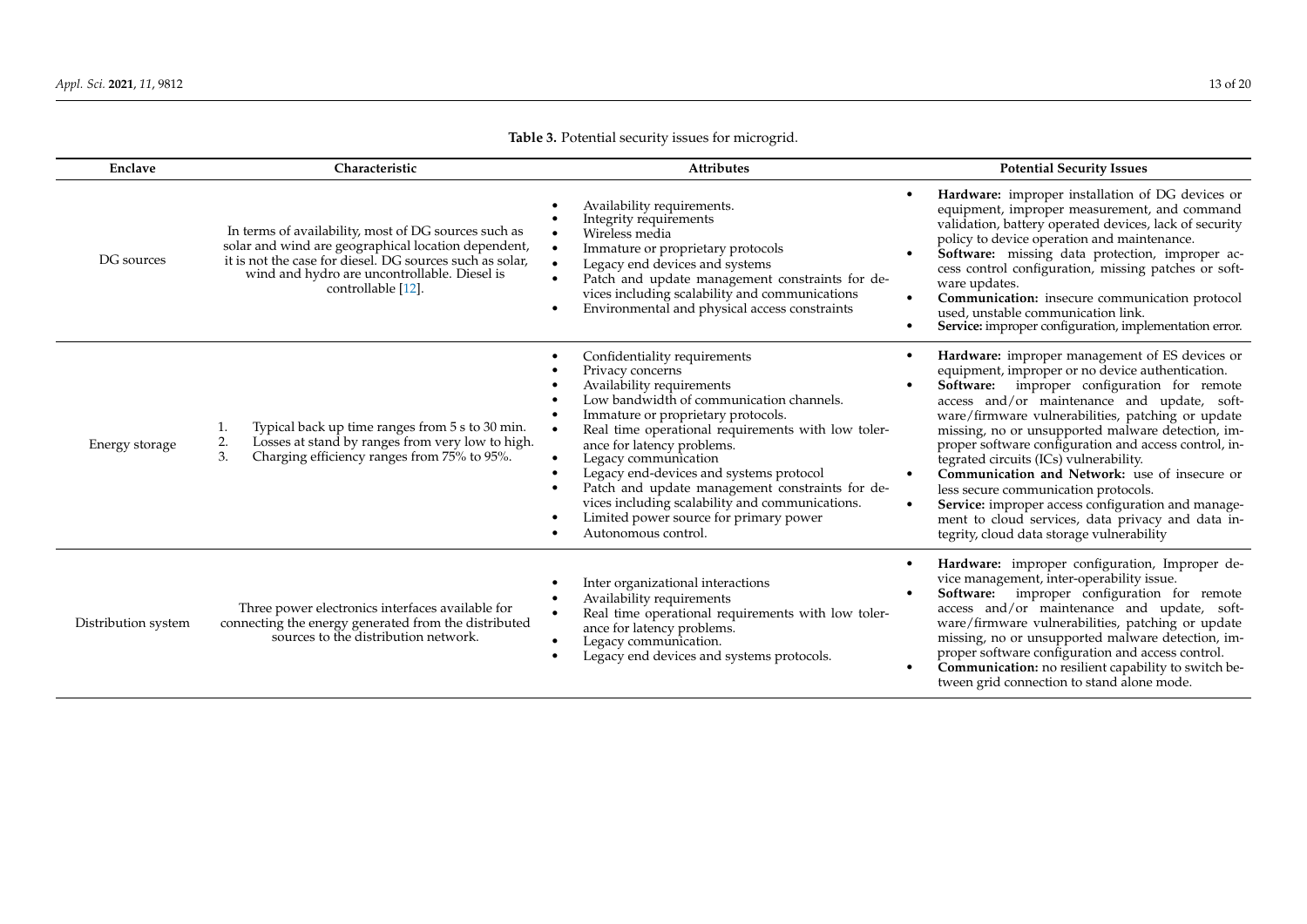<span id="page-12-0"></span>

| Enclave             | Characteristic                                                                                                                                                                                                                                | <b>Attributes</b>                                                                                                                                                                                                                                                                                                                                                                                                                                                                             | <b>Potential Security Issues</b>                                                                                                                                                                                                                                                                                                                                                                                                                                                                                                                                                                                                                                                                      |
|---------------------|-----------------------------------------------------------------------------------------------------------------------------------------------------------------------------------------------------------------------------------------------|-----------------------------------------------------------------------------------------------------------------------------------------------------------------------------------------------------------------------------------------------------------------------------------------------------------------------------------------------------------------------------------------------------------------------------------------------------------------------------------------------|-------------------------------------------------------------------------------------------------------------------------------------------------------------------------------------------------------------------------------------------------------------------------------------------------------------------------------------------------------------------------------------------------------------------------------------------------------------------------------------------------------------------------------------------------------------------------------------------------------------------------------------------------------------------------------------------------------|
| DG sources          | In terms of availability, most of DG sources such as<br>solar and wind are geographical location dependent,<br>it is not the case for diesel. DG sources such as solar,<br>wind and hydro are uncontrollable. Diesel is<br>controllable [12]. | Availability requirements.<br>Integrity requirements<br>Wireless media<br>Immature or proprietary protocols<br>Legacy end devices and systems<br>Patch and update management constraints for de-<br>vices including scalability and communications<br>Environmental and physical access constraints                                                                                                                                                                                           | Hardware: improper installation of DG devices or<br>equipment, improper measurement, and command<br>validation, battery operated devices, lack of security<br>policy to device operation and maintenance.<br>Software: missing data protection, improper ac-<br>cess control configuration, missing patches or soft-<br>ware updates.<br>Communication: insecure communication protocol<br>$\bullet$<br>used, unstable communication link.<br>Service: improper configuration, implementation error.                                                                                                                                                                                                  |
| Energy storage      | Typical back up time ranges from 5 s to 30 min.<br>1.<br>2.<br>Losses at stand by ranges from very low to high.<br>3.<br>Charging efficiency ranges from 75% to 95%.                                                                          | Confidentiality requirements<br>Privacy concerns<br>Availability requirements<br>Low bandwidth of communication channels.<br>Immature or proprietary protocols.<br>Real time operational requirements with low toler-<br>ance for latency problems.<br>Legacy communication<br>Legacy end-devices and systems protocol<br>Patch and update management constraints for de-<br>vices including scalability and communications.<br>Limited power source for primary power<br>Autonomous control. | Hardware: improper management of ES devices or<br>$\bullet$<br>equipment, improper or no device authentication.<br>Software: improper configuration for remote<br>access and/or maintenance and update, soft-<br>ware/firmware vulnerabilities, patching or update<br>missing, no or unsupported malware detection, im-<br>proper software configuration and access control, in-<br>tegrated circuits (ICs) vulnerability.<br>Communication and Network: use of insecure or<br>$\bullet$<br>less secure communication protocols.<br>Service: improper access configuration and manage-<br>$\bullet$<br>ment to cloud services, data privacy and data in-<br>tegrity, cloud data storage vulnerability |
| Distribution system | Three power electronics interfaces available for<br>connecting the energy generated from the distributed<br>sources to the distribution network.                                                                                              | Inter organizational interactions<br>Availability requirements<br>$\bullet$<br>Real time operational requirements with low toler-<br>ance for latency problems.<br>Legacy communication.<br>Legacy end devices and systems protocols.                                                                                                                                                                                                                                                         | Hardware: improper configuration, Improper de-<br>vice management, inter-operability issue.<br>Software: improper configuration for remote<br>access and/or maintenance and update, soft-<br>ware/firmware vulnerabilities, patching or update<br>missing, no or unsupported malware detection, im-<br>proper software configuration and access control.<br>Communication: no resilient capability to switch be-<br>$\bullet$<br>tween grid connection to stand alone mode.                                                                                                                                                                                                                           |

**Table 3.** Potential security issues for microgrid.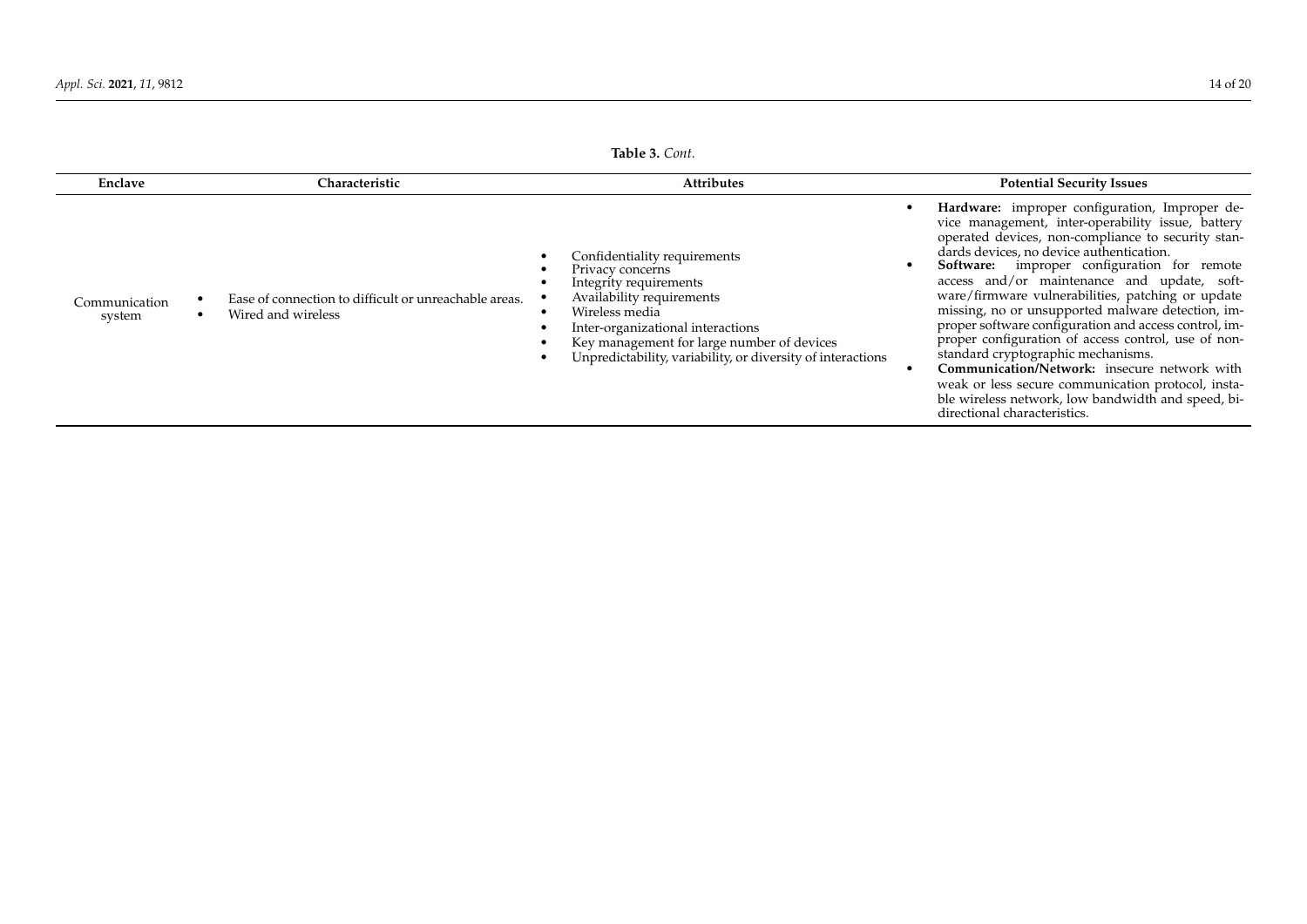| Enclave                 | Characteristic                                                              | <b>Attributes</b>                                                                                                                                                                                                                                                           | <b>Potential Security Issues</b>                                                                                                                                                                                                                                                                                                                                                                                                                                                                                                                                                                                                                                                                                                                                |
|-------------------------|-----------------------------------------------------------------------------|-----------------------------------------------------------------------------------------------------------------------------------------------------------------------------------------------------------------------------------------------------------------------------|-----------------------------------------------------------------------------------------------------------------------------------------------------------------------------------------------------------------------------------------------------------------------------------------------------------------------------------------------------------------------------------------------------------------------------------------------------------------------------------------------------------------------------------------------------------------------------------------------------------------------------------------------------------------------------------------------------------------------------------------------------------------|
| Communication<br>system | Ease of connection to difficult or unreachable areas.<br>Wired and wireless | Confidentiality requirements<br>Privacy concerns<br>Integrity requirements<br>Availability requirements<br>Wireless media<br>Inter-organizational interactions<br>Key management for large number of devices<br>Unpredictability, variability, or diversity of interactions | Hardware: improper configuration, Improper de-<br>vice management, inter-operability issue, battery<br>operated devices, non-compliance to security stan-<br>dards devices, no device authentication.<br>Software: improper configuration for remote<br>access and/or maintenance and update, soft-<br>ware/firmware vulnerabilities, patching or update<br>missing, no or unsupported malware detection, im-<br>proper software configuration and access control, im-<br>proper configuration of access control, use of non-<br>standard cryptographic mechanisms.<br>Communication/Network: insecure network with<br>weak or less secure communication protocol, insta-<br>ble wireless network, low bandwidth and speed, bi-<br>directional characteristics. |

#### **Table 3.** *Cont.*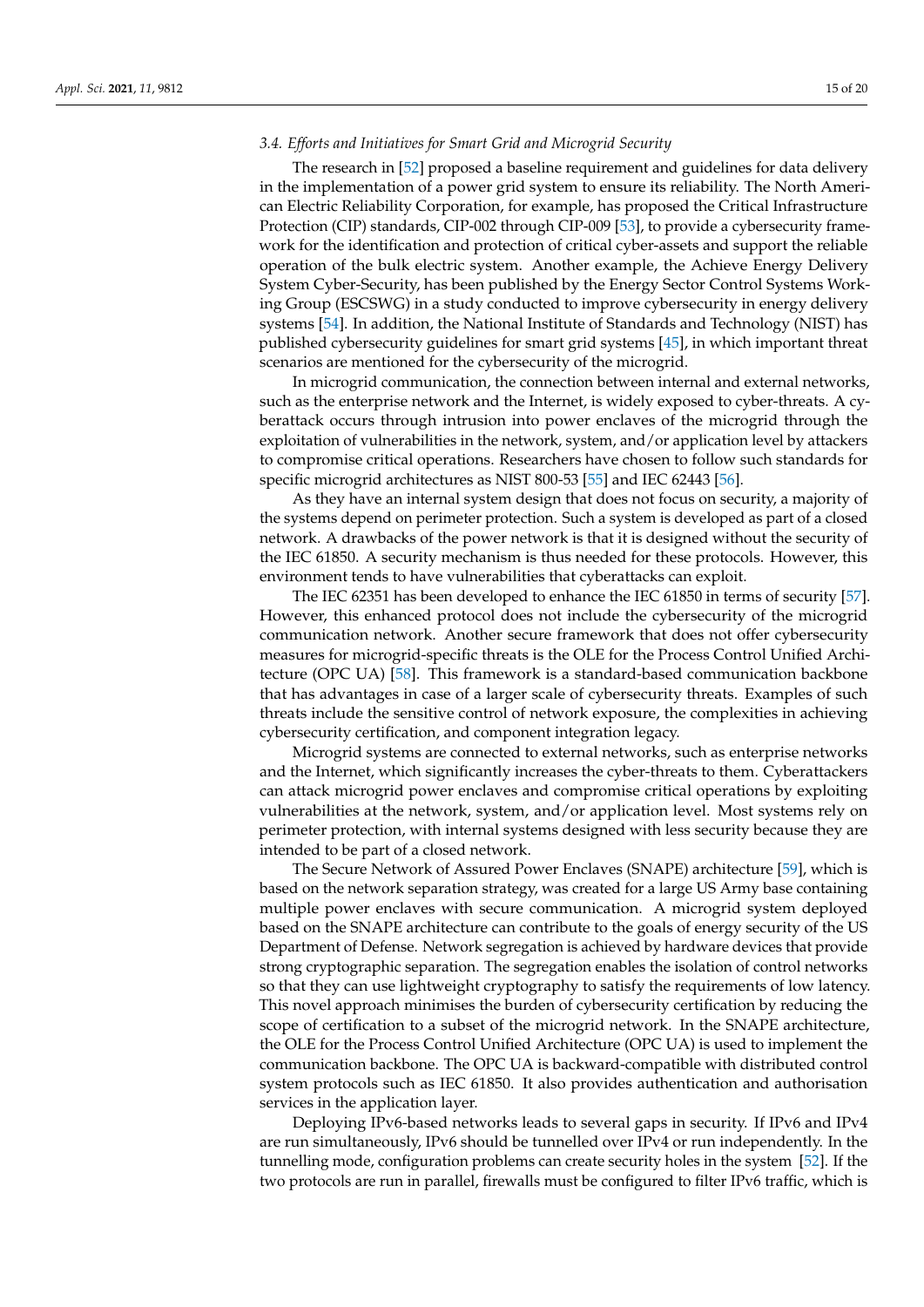## *3.4. Efforts and Initiatives for Smart Grid and Microgrid Security*

The research in [\[52\]](#page-19-0) proposed a baseline requirement and guidelines for data delivery in the implementation of a power grid system to ensure its reliability. The North American Electric Reliability Corporation, for example, has proposed the Critical Infrastructure Protection (CIP) standards, CIP-002 through CIP-009 [\[53\]](#page-19-1), to provide a cybersecurity framework for the identification and protection of critical cyber-assets and support the reliable operation of the bulk electric system. Another example, the Achieve Energy Delivery System Cyber-Security, has been published by the Energy Sector Control Systems Working Group (ESCSWG) in a study conducted to improve cybersecurity in energy delivery systems [\[54\]](#page-19-2). In addition, the National Institute of Standards and Technology (NIST) has published cybersecurity guidelines for smart grid systems [\[45\]](#page-18-21), in which important threat scenarios are mentioned for the cybersecurity of the microgrid.

In microgrid communication, the connection between internal and external networks, such as the enterprise network and the Internet, is widely exposed to cyber-threats. A cyberattack occurs through intrusion into power enclaves of the microgrid through the exploitation of vulnerabilities in the network, system, and/or application level by attackers to compromise critical operations. Researchers have chosen to follow such standards for specific microgrid architectures as NIST 800-53 [\[55\]](#page-19-3) and IEC 62443 [\[56\]](#page-19-4).

As they have an internal system design that does not focus on security, a majority of the systems depend on perimeter protection. Such a system is developed as part of a closed network. A drawbacks of the power network is that it is designed without the security of the IEC 61850. A security mechanism is thus needed for these protocols. However, this environment tends to have vulnerabilities that cyberattacks can exploit.

The IEC 62351 has been developed to enhance the IEC 61850 in terms of security [\[57\]](#page-19-5). However, this enhanced protocol does not include the cybersecurity of the microgrid communication network. Another secure framework that does not offer cybersecurity measures for microgrid-specific threats is the OLE for the Process Control Unified Architecture (OPC UA) [\[58\]](#page-19-6). This framework is a standard-based communication backbone that has advantages in case of a larger scale of cybersecurity threats. Examples of such threats include the sensitive control of network exposure, the complexities in achieving cybersecurity certification, and component integration legacy.

Microgrid systems are connected to external networks, such as enterprise networks and the Internet, which significantly increases the cyber-threats to them. Cyberattackers can attack microgrid power enclaves and compromise critical operations by exploiting vulnerabilities at the network, system, and/or application level. Most systems rely on perimeter protection, with internal systems designed with less security because they are intended to be part of a closed network.

The Secure Network of Assured Power Enclaves (SNAPE) architecture [\[59\]](#page-19-7), which is based on the network separation strategy, was created for a large US Army base containing multiple power enclaves with secure communication. A microgrid system deployed based on the SNAPE architecture can contribute to the goals of energy security of the US Department of Defense. Network segregation is achieved by hardware devices that provide strong cryptographic separation. The segregation enables the isolation of control networks so that they can use lightweight cryptography to satisfy the requirements of low latency. This novel approach minimises the burden of cybersecurity certification by reducing the scope of certification to a subset of the microgrid network. In the SNAPE architecture, the OLE for the Process Control Unified Architecture (OPC UA) is used to implement the communication backbone. The OPC UA is backward-compatible with distributed control system protocols such as IEC 61850. It also provides authentication and authorisation services in the application layer.

Deploying IPv6-based networks leads to several gaps in security. If IPv6 and IPv4 are run simultaneously, IPv6 should be tunnelled over IPv4 or run independently. In the tunnelling mode, configuration problems can create security holes in the system [\[52\]](#page-19-0). If the two protocols are run in parallel, firewalls must be configured to filter IPv6 traffic, which is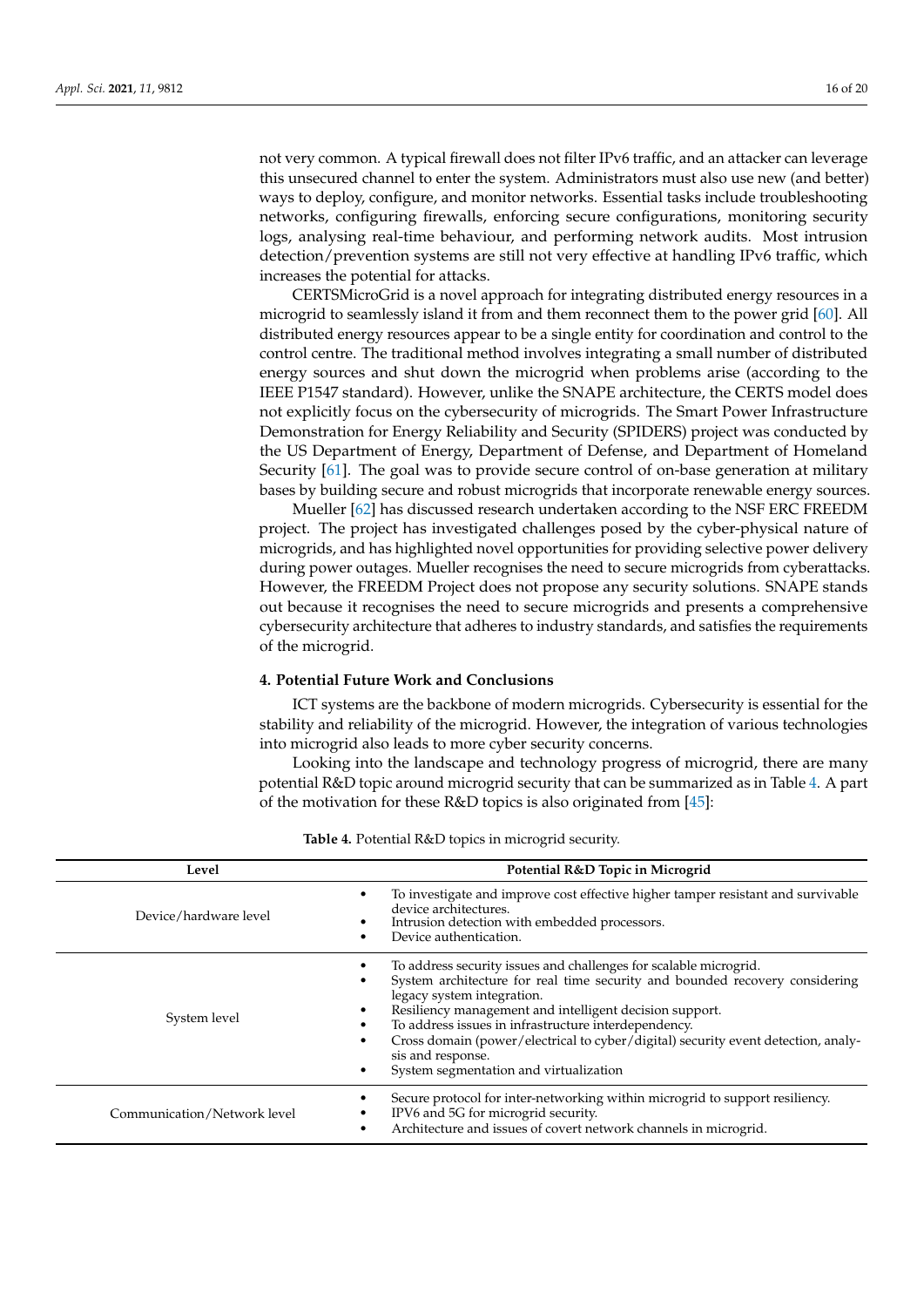not very common. A typical firewall does not filter IPv6 traffic, and an attacker can leverage this unsecured channel to enter the system. Administrators must also use new (and better) ways to deploy, configure, and monitor networks. Essential tasks include troubleshooting networks, configuring firewalls, enforcing secure configurations, monitoring security logs, analysing real-time behaviour, and performing network audits. Most intrusion detection/prevention systems are still not very effective at handling IPv6 traffic, which increases the potential for attacks.

CERTSMicroGrid is a novel approach for integrating distributed energy resources in a microgrid to seamlessly island it from and them reconnect them to the power grid [\[60\]](#page-19-8). All distributed energy resources appear to be a single entity for coordination and control to the control centre. The traditional method involves integrating a small number of distributed energy sources and shut down the microgrid when problems arise (according to the IEEE P1547 standard). However, unlike the SNAPE architecture, the CERTS model does not explicitly focus on the cybersecurity of microgrids. The Smart Power Infrastructure Demonstration for Energy Reliability and Security (SPIDERS) project was conducted by the US Department of Energy, Department of Defense, and Department of Homeland Security [\[61\]](#page-19-9). The goal was to provide secure control of on-base generation at military bases by building secure and robust microgrids that incorporate renewable energy sources.

Mueller [\[62\]](#page-19-10) has discussed research undertaken according to the NSF ERC FREEDM project. The project has investigated challenges posed by the cyber-physical nature of microgrids, and has highlighted novel opportunities for providing selective power delivery during power outages. Mueller recognises the need to secure microgrids from cyberattacks. However, the FREEDM Project does not propose any security solutions. SNAPE stands out because it recognises the need to secure microgrids and presents a comprehensive cybersecurity architecture that adheres to industry standards, and satisfies the requirements of the microgrid.

## <span id="page-15-0"></span>**4. Potential Future Work and Conclusions**

ICT systems are the backbone of modern microgrids. Cybersecurity is essential for the stability and reliability of the microgrid. However, the integration of various technologies into microgrid also leads to more cyber security concerns.

Looking into the landscape and technology progress of microgrid, there are many potential R&D topic around microgrid security that can be summarized as in Table [4.](#page-15-1) A part of the motivation for these R&D topics is also originated from [\[45\]](#page-18-21):

<span id="page-15-1"></span>

| Level                       | Potential R&D Topic in Microgrid                                                                                                                                                                                                                                                                                                                                                                                                                                        |  |  |
|-----------------------------|-------------------------------------------------------------------------------------------------------------------------------------------------------------------------------------------------------------------------------------------------------------------------------------------------------------------------------------------------------------------------------------------------------------------------------------------------------------------------|--|--|
| Device/hardware level       | To investigate and improve cost effective higher tamper resistant and survivable<br>$\bullet$<br>device architectures.<br>Intrusion detection with embedded processors.<br>Device authentication.<br>٠                                                                                                                                                                                                                                                                  |  |  |
| System level                | To address security issues and challenges for scalable microgrid.<br>System architecture for real time security and bounded recovery considering<br>legacy system integration.<br>Resiliency management and intelligent decision support.<br>To address issues in infrastructure interdependency.<br>Cross domain (power/electrical to cyber/digital) security event detection, analy-<br>$\bullet$<br>sis and response.<br>System segmentation and virtualization<br>٠ |  |  |
| Communication/Network level | Secure protocol for inter-networking within microgrid to support resiliency.<br>IPV6 and 5G for microgrid security.<br>Architecture and issues of covert network channels in microgrid.<br>٠                                                                                                                                                                                                                                                                            |  |  |

**Table 4.** Potential R&D topics in microgrid security.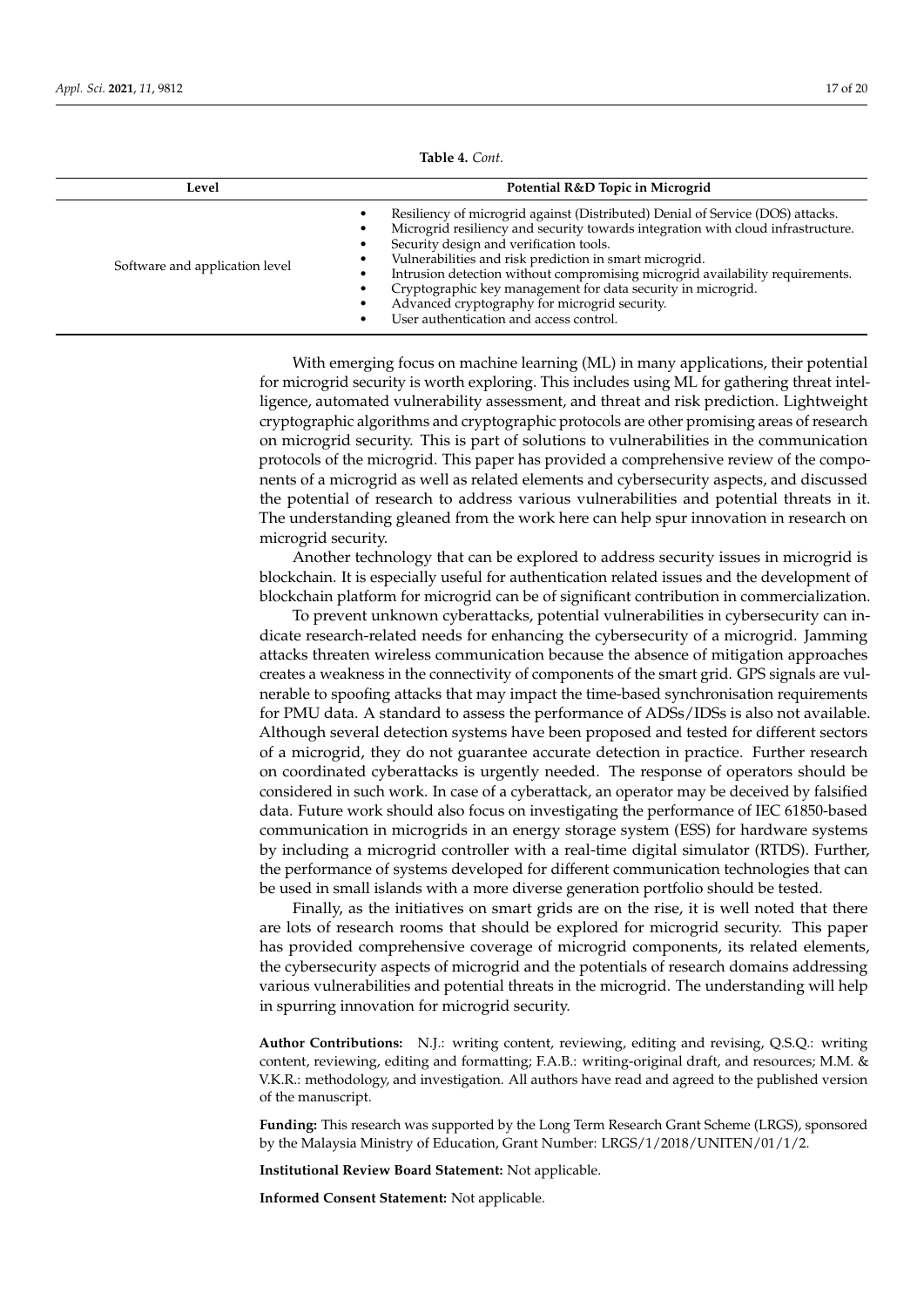| Level                          | Potential R&D Topic in Microgrid                                                                                                                                                                                                                                                                                                                                                                                                                                                                                      |  |  |
|--------------------------------|-----------------------------------------------------------------------------------------------------------------------------------------------------------------------------------------------------------------------------------------------------------------------------------------------------------------------------------------------------------------------------------------------------------------------------------------------------------------------------------------------------------------------|--|--|
| Software and application level | Resiliency of microgrid against (Distributed) Denial of Service (DOS) attacks.<br>Microgrid resiliency and security towards integration with cloud infrastructure.<br>Security design and verification tools.<br>Vulnerabilities and risk prediction in smart microgrid.<br>Intrusion detection without compromising microgrid availability requirements.<br>Cryptographic key management for data security in microgrid.<br>Advanced cryptography for microgrid security.<br>User authentication and access control. |  |  |

**Table 4.** *Cont.*

With emerging focus on machine learning (ML) in many applications, their potential for microgrid security is worth exploring. This includes using ML for gathering threat intelligence, automated vulnerability assessment, and threat and risk prediction. Lightweight cryptographic algorithms and cryptographic protocols are other promising areas of research on microgrid security. This is part of solutions to vulnerabilities in the communication protocols of the microgrid. This paper has provided a comprehensive review of the components of a microgrid as well as related elements and cybersecurity aspects, and discussed the potential of research to address various vulnerabilities and potential threats in it. The understanding gleaned from the work here can help spur innovation in research on microgrid security.

Another technology that can be explored to address security issues in microgrid is blockchain. It is especially useful for authentication related issues and the development of blockchain platform for microgrid can be of significant contribution in commercialization.

To prevent unknown cyberattacks, potential vulnerabilities in cybersecurity can indicate research-related needs for enhancing the cybersecurity of a microgrid. Jamming attacks threaten wireless communication because the absence of mitigation approaches creates a weakness in the connectivity of components of the smart grid. GPS signals are vulnerable to spoofing attacks that may impact the time-based synchronisation requirements for PMU data. A standard to assess the performance of ADSs/IDSs is also not available. Although several detection systems have been proposed and tested for different sectors of a microgrid, they do not guarantee accurate detection in practice. Further research on coordinated cyberattacks is urgently needed. The response of operators should be considered in such work. In case of a cyberattack, an operator may be deceived by falsified data. Future work should also focus on investigating the performance of IEC 61850-based communication in microgrids in an energy storage system (ESS) for hardware systems by including a microgrid controller with a real-time digital simulator (RTDS). Further, the performance of systems developed for different communication technologies that can be used in small islands with a more diverse generation portfolio should be tested.

Finally, as the initiatives on smart grids are on the rise, it is well noted that there are lots of research rooms that should be explored for microgrid security. This paper has provided comprehensive coverage of microgrid components, its related elements, the cybersecurity aspects of microgrid and the potentials of research domains addressing various vulnerabilities and potential threats in the microgrid. The understanding will help in spurring innovation for microgrid security.

**Author Contributions:** N.J.: writing content, reviewing, editing and revising, Q.S.Q.: writing content, reviewing, editing and formatting; F.A.B.: writing-original draft, and resources; M.M. & V.K.R.: methodology, and investigation. All authors have read and agreed to the published version of the manuscript.

**Funding:** This research was supported by the Long Term Research Grant Scheme (LRGS), sponsored by the Malaysia Ministry of Education, Grant Number: LRGS/1/2018/UNITEN/01/1/2.

**Institutional Review Board Statement:** Not applicable.

**Informed Consent Statement:** Not applicable.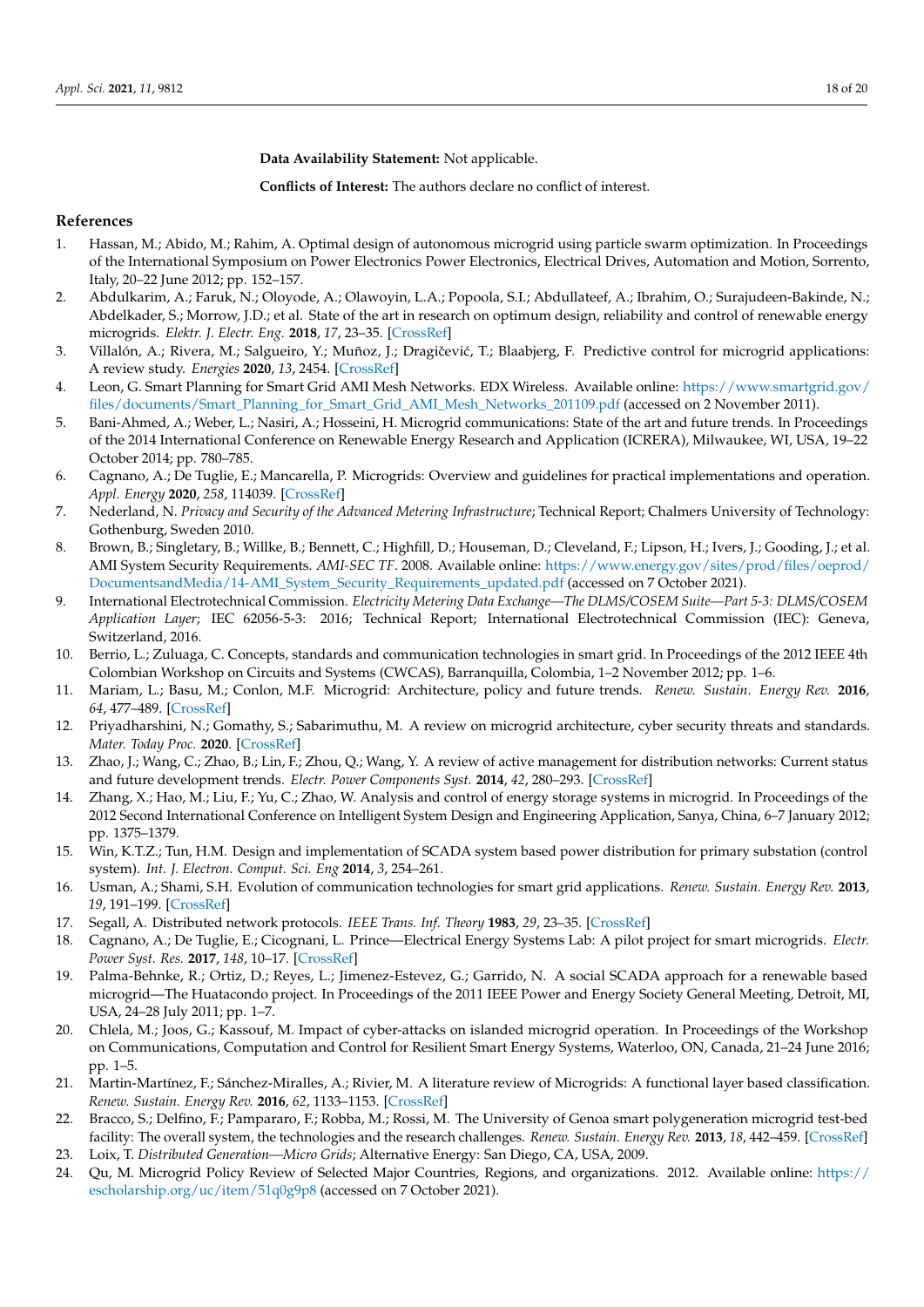**Data Availability Statement:** Not applicable.

**Conflicts of Interest:** The authors declare no conflict of interest.

## **References**

- <span id="page-17-0"></span>1. Hassan, M.; Abido, M.; Rahim, A. Optimal design of autonomous microgrid using particle swarm optimization. In Proceedings of the International Symposium on Power Electronics Power Electronics, Electrical Drives, Automation and Motion, Sorrento, Italy, 20–22 June 2012; pp. 152–157.
- <span id="page-17-1"></span>2. Abdulkarim, A.; Faruk, N.; Oloyode, A.; Olawoyin, L.A.; Popoola, S.I.; Abdullateef, A.; Ibrahim, O.; Surajudeen-Bakinde, N.; Abdelkader, S.; Morrow, J.D.; et al. State of the art in research on optimum design, reliability and control of renewable energy microgrids. *Elektr. J. Electr. Eng.* **2018**, *17*, 23–35. [\[CrossRef\]](http://doi.org/10.11113/elektrika.v17n3.84)
- <span id="page-17-26"></span><span id="page-17-2"></span>3. Villalón, A.; Rivera, M.; Salgueiro, Y.; Muñoz, J.; Dragičević, T.; Blaabjerg, F. Predictive control for microgrid applications: A review study. *Energies* **2020**, *13*, 2454. [\[CrossRef\]](http://dx.doi.org/10.3390/en13102454)
- <span id="page-17-3"></span>4. Leon, G. Smart Planning for Smart Grid AMI Mesh Networks. EDX Wireless. Available online: [https://www.smartgrid.gov/](https://www.smartgrid.gov/files/documents/Smart_Planning_for_Smart_Grid_AMI_Mesh_Networks_201109.pdf) [files/documents/Smart\\_Planning\\_for\\_Smart\\_Grid\\_AMI\\_Mesh\\_Networks\\_201109.pdf](https://www.smartgrid.gov/files/documents/Smart_Planning_for_Smart_Grid_AMI_Mesh_Networks_201109.pdf) (accessed on 2 November 2011).
- <span id="page-17-4"></span>5. Bani-Ahmed, A.; Weber, L.; Nasiri, A.; Hosseini, H. Microgrid communications: State of the art and future trends. In Proceedings of the 2014 International Conference on Renewable Energy Research and Application (ICRERA), Milwaukee, WI, USA, 19–22 October 2014; pp. 780–785.
- <span id="page-17-5"></span>6. Cagnano, A.; De Tuglie, E.; Mancarella, P. Microgrids: Overview and guidelines for practical implementations and operation. *Appl. Energy* **2020**, *258*, 114039. [\[CrossRef\]](http://dx.doi.org/10.1016/j.apenergy.2019.114039)
- <span id="page-17-6"></span>7. Nederland, N. *Privacy and Security of the Advanced Metering Infrastructure*; Technical Report; Chalmers University of Technology: Gothenburg, Sweden 2010.
- <span id="page-17-21"></span><span id="page-17-7"></span>8. Brown, B.; Singletary, B.; Willke, B.; Bennett, C.; Highfill, D.; Houseman, D.; Cleveland, F.; Lipson, H.; Ivers, J.; Gooding, J.; et al. AMI System Security Requirements. *AMI-SEC TF*. 2008. Available online: [https://www.energy.gov/sites/prod/files/oeprod/](https://www.energy.gov/sites/prod/files/oeprod/DocumentsandMedia/14-AMI_System_Security_Requirements_updated.pdf) [DocumentsandMedia/14-AMI\\_System\\_Security\\_Requirements\\_updated.pdf](https://www.energy.gov/sites/prod/files/oeprod/DocumentsandMedia/14-AMI_System_Security_Requirements_updated.pdf) (accessed on 7 October 2021).
- <span id="page-17-22"></span><span id="page-17-8"></span>9. International Electrotechnical Commission. *Electricity Metering Data Exchange—The DLMS/COSEM Suite—Part 5-3: DLMS/COSEM Application Layer*; IEC 62056-5-3: 2016; Technical Report; International Electrotechnical Commission (IEC): Geneva, Switzerland, 2016.
- <span id="page-17-9"></span>10. Berrio, L.; Zuluaga, C. Concepts, standards and communication technologies in smart grid. In Proceedings of the 2012 IEEE 4th Colombian Workshop on Circuits and Systems (CWCAS), Barranquilla, Colombia, 1–2 November 2012; pp. 1–6.
- <span id="page-17-10"></span>11. Mariam, L.; Basu, M.; Conlon, M.F. Microgrid: Architecture, policy and future trends. *Renew. Sustain. Energy Rev.* **2016**, *64*, 477–489. [\[CrossRef\]](http://dx.doi.org/10.1016/j.rser.2016.06.037)
- <span id="page-17-25"></span><span id="page-17-11"></span>12. Priyadharshini, N.; Gomathy, S.; Sabarimuthu, M. A review on microgrid architecture, cyber security threats and standards. *Mater. Today Proc.* **2020**. [\[CrossRef\]](http://dx.doi.org/10.1016/j.matpr.2020.10.622)
- <span id="page-17-23"></span><span id="page-17-12"></span>13. Zhao, J.; Wang, C.; Zhao, B.; Lin, F.; Zhou, Q.; Wang, Y. A review of active management for distribution networks: Current status and future development trends. *Electr. Power Components Syst.* **2014**, *42*, 280–293. [\[CrossRef\]](http://dx.doi.org/10.1080/15325008.2013.862325)
- <span id="page-17-24"></span><span id="page-17-13"></span>14. Zhang, X.; Hao, M.; Liu, F.; Yu, C.; Zhao, W. Analysis and control of energy storage systems in microgrid. In Proceedings of the 2012 Second International Conference on Intelligent System Design and Engineering Application, Sanya, China, 6–7 January 2012; pp. 1375–1379.
- <span id="page-17-14"></span>15. Win, K.T.Z.; Tun, H.M. Design and implementation of SCADA system based power distribution for primary substation (control system). *Int. J. Electron. Comput. Sci. Eng* **2014**, *3*, 254–261.
- <span id="page-17-15"></span>16. Usman, A.; Shami, S.H. Evolution of communication technologies for smart grid applications. *Renew. Sustain. Energy Rev.* **2013**, *19*, 191–199. [\[CrossRef\]](http://dx.doi.org/10.1016/j.rser.2012.11.002)
- <span id="page-17-20"></span>17. Segall, A. Distributed network protocols. *IEEE Trans. Inf. Theory* **1983**, *29*, 23–35. [\[CrossRef\]](http://dx.doi.org/10.1109/TIT.1983.1056620)
- 18. Cagnano, A.; De Tuglie, E.; Cicognani, L. Prince—Electrical Energy Systems Lab: A pilot project for smart microgrids. *Electr. Power Syst. Res.* **2017**, *148*, 10–17. [\[CrossRef\]](http://dx.doi.org/10.1016/j.epsr.2017.03.011)
- <span id="page-17-16"></span>19. Palma-Behnke, R.; Ortiz, D.; Reyes, L.; Jimenez-Estevez, G.; Garrido, N. A social SCADA approach for a renewable based microgrid—The Huatacondo project. In Proceedings of the 2011 IEEE Power and Energy Society General Meeting, Detroit, MI, USA, 24–28 July 2011; pp. 1–7.
- <span id="page-17-17"></span>20. Chlela, M.; Joos, G.; Kassouf, M. Impact of cyber-attacks on islanded microgrid operation. In Proceedings of the Workshop on Communications, Computation and Control for Resilient Smart Energy Systems, Waterloo, ON, Canada, 21–24 June 2016; pp. 1–5.
- <span id="page-17-18"></span>21. Martin-Martínez, F.; Sánchez-Miralles, A.; Rivier, M. A literature review of Microgrids: A functional layer based classification. *Renew. Sustain. Energy Rev.* **2016**, *62*, 1133–1153. [\[CrossRef\]](http://dx.doi.org/10.1016/j.rser.2016.05.025)
- <span id="page-17-19"></span>22. Bracco, S.; Delfino, F.; Pampararo, F.; Robba, M.; Rossi, M. The University of Genoa smart polygeneration microgrid test-bed facility: The overall system, the technologies and the research challenges. *Renew. Sustain. Energy Rev.* **2013**, *18*, 442–459. [\[CrossRef\]](http://dx.doi.org/10.1016/j.rser.2012.10.009)
- 23. Loix, T. *Distributed Generation—Micro Grids*; Alternative Energy: San Diego, CA, USA, 2009.
- 24. Qu, M. Microgrid Policy Review of Selected Major Countries, Regions, and organizations. 2012. Available online: [https://](https://escholarship.org/uc/item/51q0g9p8) [escholarship.org/uc/item/51q0g9p8](https://escholarship.org/uc/item/51q0g9p8) (accessed on 7 October 2021).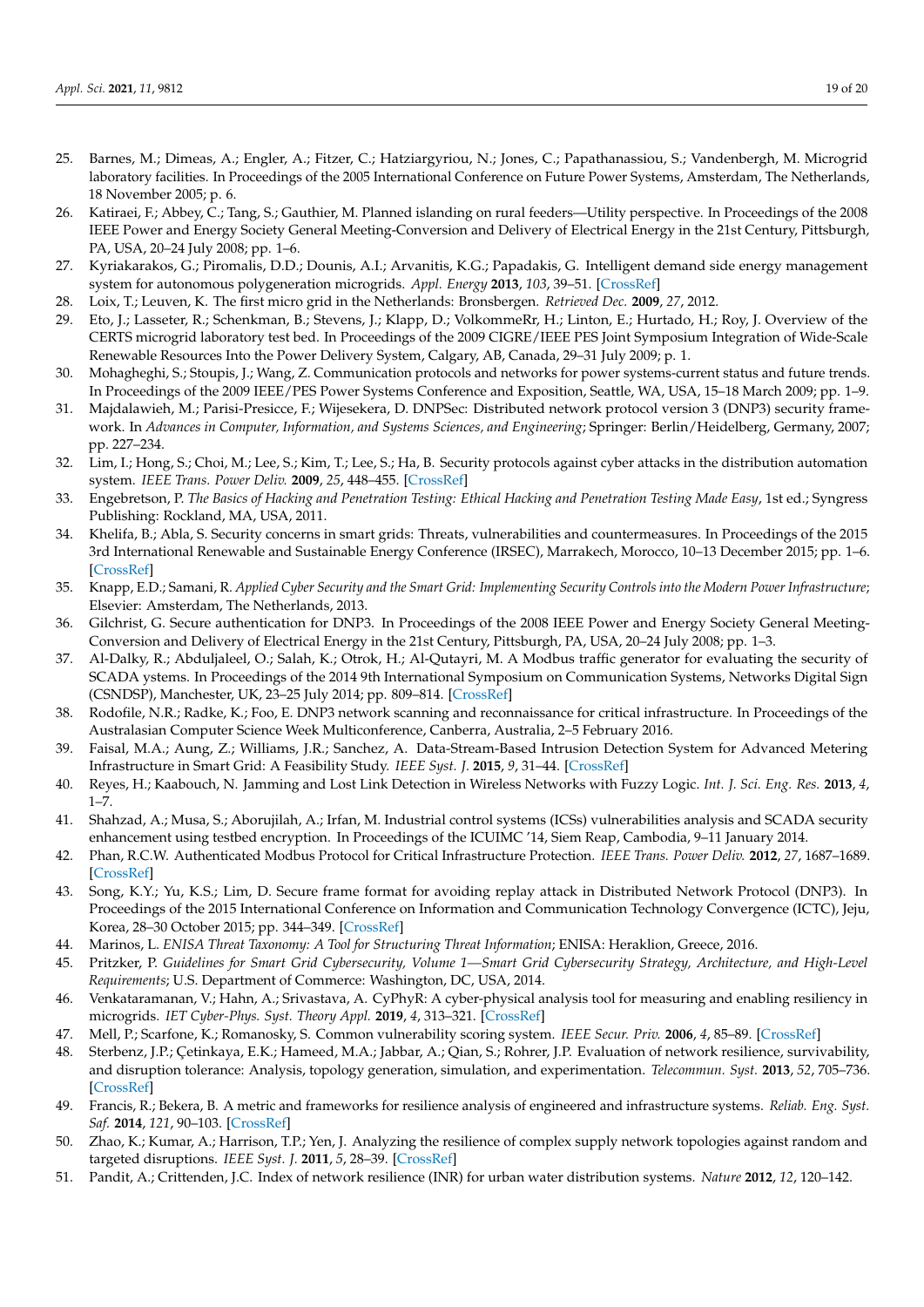- <span id="page-18-4"></span><span id="page-18-3"></span><span id="page-18-2"></span><span id="page-18-1"></span><span id="page-18-0"></span>25. Barnes, M.; Dimeas, A.; Engler, A.; Fitzer, C.; Hatziargyriou, N.; Jones, C.; Papathanassiou, S.; Vandenbergh, M. Microgrid laboratory facilities. In Proceedings of the 2005 International Conference on Future Power Systems, Amsterdam, The Netherlands, 18 November 2005; p. 6.
- <span id="page-18-12"></span>26. Katiraei, F.; Abbey, C.; Tang, S.; Gauthier, M. Planned islanding on rural feeders—Utility perspective. In Proceedings of the 2008 IEEE Power and Energy Society General Meeting-Conversion and Delivery of Electrical Energy in the 21st Century, Pittsburgh, PA, USA, 20–24 July 2008; pp. 1–6.
- <span id="page-18-13"></span>27. Kyriakarakos, G.; Piromalis, D.D.; Dounis, A.I.; Arvanitis, K.G.; Papadakis, G. Intelligent demand side energy management system for autonomous polygeneration microgrids. *Appl. Energy* **2013**, *103*, 39–51. [\[CrossRef\]](http://dx.doi.org/10.1016/j.apenergy.2012.10.011)
- 28. Loix, T.; Leuven, K. The first micro grid in the Netherlands: Bronsbergen. *Retrieved Dec.* **2009**, *27*, 2012.
- <span id="page-18-14"></span>29. Eto, J.; Lasseter, R.; Schenkman, B.; Stevens, J.; Klapp, D.; VolkommeRr, H.; Linton, E.; Hurtado, H.; Roy, J. Overview of the CERTS microgrid laboratory test bed. In Proceedings of the 2009 CIGRE/IEEE PES Joint Symposium Integration of Wide-Scale Renewable Resources Into the Power Delivery System, Calgary, AB, Canada, 29–31 July 2009; p. 1.
- <span id="page-18-15"></span><span id="page-18-5"></span>30. Mohagheghi, S.; Stoupis, J.; Wang, Z. Communication protocols and networks for power systems-current status and future trends. In Proceedings of the 2009 IEEE/PES Power Systems Conference and Exposition, Seattle, WA, USA, 15–18 March 2009; pp. 1–9.
- <span id="page-18-16"></span><span id="page-18-6"></span>31. Majdalawieh, M.; Parisi-Presicce, F.; Wijesekera, D. DNPSec: Distributed network protocol version 3 (DNP3) security framework. In *Advances in Computer, Information, and Systems Sciences, and Engineering*; Springer: Berlin/Heidelberg, Germany, 2007; pp. 227–234.
- <span id="page-18-7"></span>32. Lim, I.; Hong, S.; Choi, M.; Lee, S.; Kim, T.; Lee, S.; Ha, B. Security protocols against cyber attacks in the distribution automation system. *IEEE Trans. Power Deliv.* **2009**, *25*, 448–455. [\[CrossRef\]](http://dx.doi.org/10.1109/TPWRD.2009.2021083)
- <span id="page-18-8"></span>33. Engebretson, P. *The Basics of Hacking and Penetration Testing: Ethical Hacking and Penetration Testing Made Easy*, 1st ed.; Syngress Publishing: Rockland, MA, USA, 2011.
- <span id="page-18-9"></span>34. Khelifa, B.; Abla, S. Security concerns in smart grids: Threats, vulnerabilities and countermeasures. In Proceedings of the 2015 3rd International Renewable and Sustainable Energy Conference (IRSEC), Marrakech, Morocco, 10–13 December 2015; pp. 1–6. [\[CrossRef\]](http://dx.doi.org/10.1109/IRSEC.2015.7454963)
- <span id="page-18-10"></span>35. Knapp, E.D.; Samani, R. *Applied Cyber Security and the Smart Grid: Implementing Security Controls into the Modern Power Infrastructure*; Elsevier: Amsterdam, The Netherlands, 2013.
- <span id="page-18-11"></span>36. Gilchrist, G. Secure authentication for DNP3. In Proceedings of the 2008 IEEE Power and Energy Society General Meeting-Conversion and Delivery of Electrical Energy in the 21st Century, Pittsburgh, PA, USA, 20–24 July 2008; pp. 1–3.
- 37. Al-Dalky, R.; Abduljaleel, O.; Salah, K.; Otrok, H.; Al-Qutayri, M. A Modbus traffic generator for evaluating the security of SCADA ystems. In Proceedings of the 2014 9th International Symposium on Communication Systems, Networks Digital Sign (CSNDSP), Manchester, UK, 23–25 July 2014; pp. 809–814. [\[CrossRef\]](http://dx.doi.org/10.1109/CSNDSP.2014.6923938)
- 38. Rodofile, N.R.; Radke, K.; Foo, E. DNP3 network scanning and reconnaissance for critical infrastructure. In Proceedings of the Australasian Computer Science Week Multiconference, Canberra, Australia, 2–5 February 2016.
- 39. Faisal, M.A.; Aung, Z.; Williams, J.R.; Sanchez, A. Data-Stream-Based Intrusion Detection System for Advanced Metering Infrastructure in Smart Grid: A Feasibility Study. *IEEE Syst. J.* **2015**, *9*, 31–44. [\[CrossRef\]](http://dx.doi.org/10.1109/JSYST.2013.2294120)
- 40. Reyes, H.; Kaabouch, N. Jamming and Lost Link Detection in Wireless Networks with Fuzzy Logic. *Int. J. Sci. Eng. Res.* **2013**, *4*,  $1 - 7$ .
- <span id="page-18-17"></span>41. Shahzad, A.; Musa, S.; Aborujilah, A.; Irfan, M. Industrial control systems (ICSs) vulnerabilities analysis and SCADA security enhancement using testbed encryption. In Proceedings of the ICUIMC '14, Siem Reap, Cambodia, 9–11 January 2014.
- <span id="page-18-19"></span>42. Phan, R.C.W. Authenticated Modbus Protocol for Critical Infrastructure Protection. *IEEE Trans. Power Deliv.* **2012**, *27*, 1687–1689. [\[CrossRef\]](http://dx.doi.org/10.1109/TPWRD.2012.2187122)
- <span id="page-18-18"></span>43. Song, K.Y.; Yu, K.S.; Lim, D. Secure frame format for avoiding replay attack in Distributed Network Protocol (DNP3). In Proceedings of the 2015 International Conference on Information and Communication Technology Convergence (ICTC), Jeju, Korea, 28–30 October 2015; pp. 344–349. [\[CrossRef\]](http://dx.doi.org/10.1109/ICTC.2015.7354560)
- <span id="page-18-20"></span>44. Marinos, L. *ENISA Threat Taxonomy: A Tool for Structuring Threat Information*; ENISA: Heraklion, Greece, 2016.
- <span id="page-18-21"></span>45. Pritzker, P. *Guidelines for Smart Grid Cybersecurity, Volume 1—Smart Grid Cybersecurity Strategy, Architecture, and High-Level Requirements*; U.S. Department of Commerce: Washington, DC, USA, 2014.
- <span id="page-18-22"></span>46. Venkataramanan, V.; Hahn, A.; Srivastava, A. CyPhyR: A cyber-physical analysis tool for measuring and enabling resiliency in microgrids. *IET Cyber-Phys. Syst. Theory Appl.* **2019**, *4*, 313–321. [\[CrossRef\]](http://dx.doi.org/10.1049/iet-cps.2018.5069)
- <span id="page-18-23"></span>47. Mell, P.; Scarfone, K.; Romanosky, S. Common vulnerability scoring system. *IEEE Secur. Priv.* **2006**, *4*, 85–89. [\[CrossRef\]](http://dx.doi.org/10.1109/MSP.2006.145)
- <span id="page-18-24"></span>48. Sterbenz, J.P.; Çetinkaya, E.K.; Hameed, M.A.; Jabbar, A.; Qian, S.; Rohrer, J.P. Evaluation of network resilience, survivability, and disruption tolerance: Analysis, topology generation, simulation, and experimentation. *Telecommun. Syst.* **2013**, *52*, 705–736. [\[CrossRef\]](http://dx.doi.org/10.1007/s11235-011-9573-6)
- 49. Francis, R.; Bekera, B. A metric and frameworks for resilience analysis of engineered and infrastructure systems. *Reliab. Eng. Syst. Saf.* **2014**, *121*, 90–103. [\[CrossRef\]](http://dx.doi.org/10.1016/j.ress.2013.07.004)
- 50. Zhao, K.; Kumar, A.; Harrison, T.P.; Yen, J. Analyzing the resilience of complex supply network topologies against random and targeted disruptions. *IEEE Syst. J.* **2011**, *5*, 28–39. [\[CrossRef\]](http://dx.doi.org/10.1109/JSYST.2010.2100192)
- <span id="page-18-25"></span>51. Pandit, A.; Crittenden, J.C. Index of network resilience (INR) for urban water distribution systems. *Nature* **2012**, *12*, 120–142.